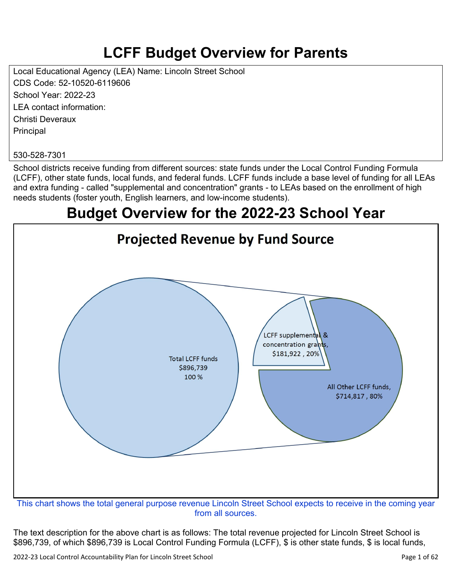# **LCFF Budget Overview for Parents**

Local Educational Agency (LEA) Name: Lincoln Street School CDS Code: 52-10520-6119606 School Year: 2022-23 LEA contact information: Christi Deveraux **Principal** 

#### 530-528-7301

School districts receive funding from different sources: state funds under the Local Control Funding Formula (LCFF), other state funds, local funds, and federal funds. LCFF funds include a base level of funding for all LEAs and extra funding - called "supplemental and concentration" grants - to LEAs based on the enrollment of high needs students (foster youth, English learners, and low-income students).

## **Budget Overview for the 2022-23 School Year**



from all sources.

The text description for the above chart is as follows: The total revenue projected for Lincoln Street School is \$896,739, of which \$896,739 is Local Control Funding Formula (LCFF), \$ is other state funds, \$ is local funds,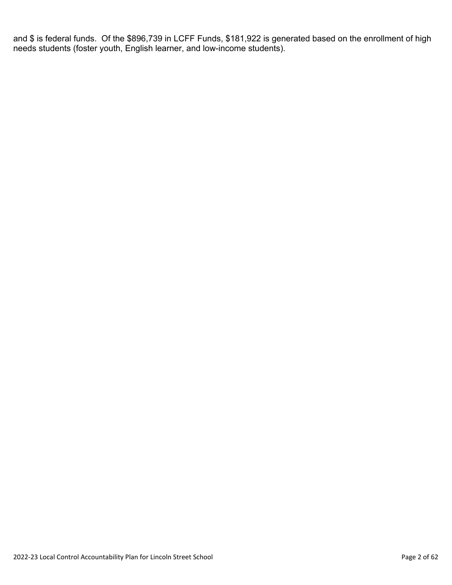and \$ is federal funds. Of the \$896,739 in LCFF Funds, \$181,922 is generated based on the enrollment of high needs students (foster youth, English learner, and low-income students).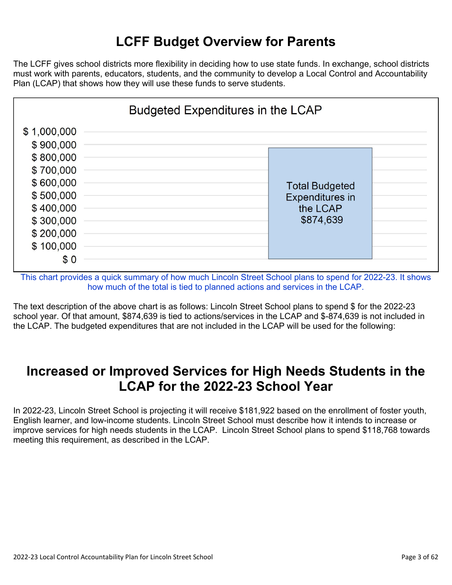## **LCFF Budget Overview for Parents**

The LCFF gives school districts more flexibility in deciding how to use state funds. In exchange, school districts must work with parents, educators, students, and the community to develop a Local Control and Accountability Plan (LCAP) that shows how they will use these funds to serve students.



This chart provides a quick summary of how much Lincoln Street School plans to spend for 2022-23. It shows how much of the total is tied to planned actions and services in the LCAP.

The text description of the above chart is as follows: Lincoln Street School plans to spend \$ for the 2022-23 school year. Of that amount, \$874,639 is tied to actions/services in the LCAP and \$-874,639 is not included in the LCAP. The budgeted expenditures that are not included in the LCAP will be used for the following:

### **Increased or Improved Services for High Needs Students in the LCAP for the 2022-23 School Year**

In 2022-23, Lincoln Street School is projecting it will receive \$181,922 based on the enrollment of foster youth, English learner, and low-income students. Lincoln Street School must describe how it intends to increase or improve services for high needs students in the LCAP. Lincoln Street School plans to spend \$118,768 towards meeting this requirement, as described in the LCAP.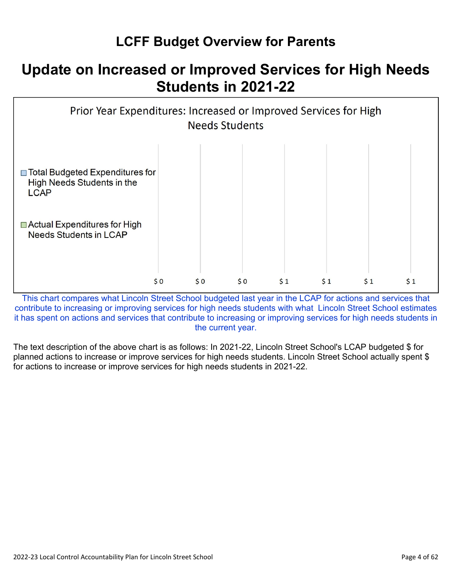## **LCFF Budget Overview for Parents**

## **Update on Increased or Improved Services for High Needs Students in 2021-22**



This chart compares what Lincoln Street School budgeted last year in the LCAP for actions and services that contribute to increasing or improving services for high needs students with what Lincoln Street School estimates it has spent on actions and services that contribute to increasing or improving services for high needs students in the current year.

The text description of the above chart is as follows: In 2021-22, Lincoln Street School's LCAP budgeted \$ for planned actions to increase or improve services for high needs students. Lincoln Street School actually spent \$ for actions to increase or improve services for high needs students in 2021-22.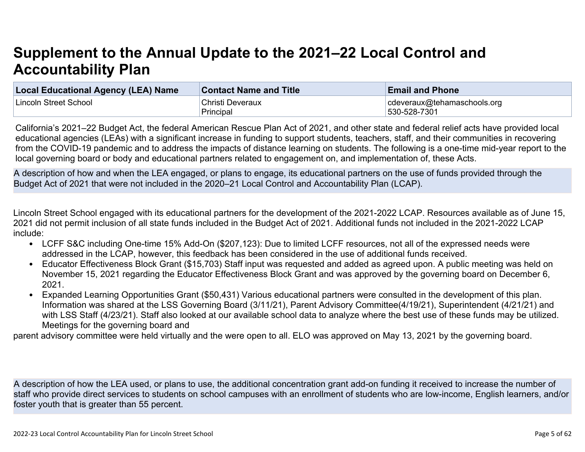# **Supplement to the Annual Update to the 2021–22 Local Control and Accountability Plan**

| Local Educational Agency (LEA) Name | <b>Contact Name and Title</b> | <b>Email and Phone</b>      |
|-------------------------------------|-------------------------------|-----------------------------|
| Lincoln Street School               | Christi Deveraux              | cdeveraux@tehamaschools.org |
|                                     | Principal                     | 530-528-7301                |

California's 2021–22 Budget Act, the federal American Rescue Plan Act of 2021, and other state and federal relief acts have provided local educational agencies (LEAs) with a significant increase in funding to support students, teachers, staff, and their communities in recovering from the COVID-19 pandemic and to address the impacts of distance learning on students. The following is a one-time mid-year report to the local governing board or body and educational partners related to engagement on, and implementation of, these Acts.

A description of how and when the LEA engaged, or plans to engage, its educational partners on the use of funds provided through the Budget Act of 2021 that were not included in the 2020–21 Local Control and Accountability Plan (LCAP).

Lincoln Street School engaged with its educational partners for the development of the 2021-2022 LCAP. Resources available as of June 15, 2021 did not permit inclusion of all state funds included in the Budget Act of 2021. Additional funds not included in the 2021-2022 LCAP include:

- LCFF S&C including One-time 15% Add-On (\$207,123): Due to limited LCFF resources, not all of the expressed needs were addressed in the LCAP, however, this feedback has been considered in the use of additional funds received.
- Educator Effectiveness Block Grant (\$15,703) Staff input was requested and added as agreed upon. A public meeting was held on November 15, 2021 regarding the Educator Effectiveness Block Grant and was approved by the governing board on December 6, 2021.
- Expanded Learning Opportunities Grant (\$50,431) Various educational partners were consulted in the development of this plan. Information was shared at the LSS Governing Board (3/11/21), Parent Advisory Committee(4/19/21), Superintendent (4/21/21) and with LSS Staff (4/23/21). Staff also looked at our available school data to analyze where the best use of these funds may be utilized. Meetings for the governing board and

parent advisory committee were held virtually and the were open to all. ELO was approved on May 13, 2021 by the governing board.

A description of how the LEA used, or plans to use, the additional concentration grant add-on funding it received to increase the number of staff who provide direct services to students on school campuses with an enrollment of students who are low-income, English learners, and/or foster youth that is greater than 55 percent.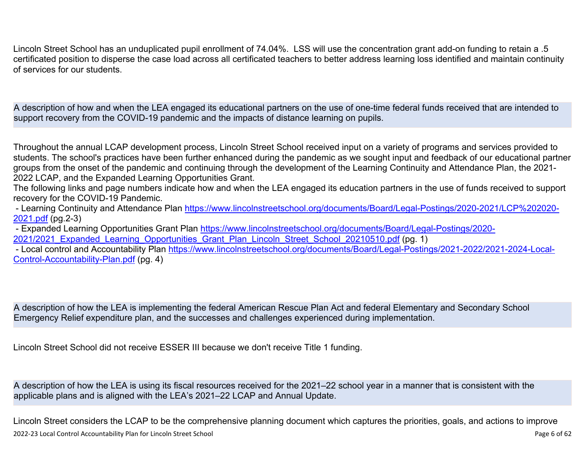Lincoln Street School has an unduplicated pupil enrollment of 74.04%. LSS will use the concentration grant add-on funding to retain a .5 certificated position to disperse the case load across all certificated teachers to better address learning loss identified and maintain continuity of services for our students.

A description of how and when the LEA engaged its educational partners on the use of one-time federal funds received that are intended to support recovery from the COVID-19 pandemic and the impacts of distance learning on pupils.

Throughout the annual LCAP development process, Lincoln Street School received input on a variety of programs and services provided to students. The school's practices have been further enhanced during the pandemic as we sought input and feedback of our educational partner groups from the onset of the pandemic and continuing through the development of the Learning Continuity and Attendance Plan, the 2021- 2022 LCAP, and the Expanded Learning Opportunities Grant.

The following links and page numbers indicate how and when the LEA engaged its education partners in the use of funds received to support recovery for the COVID-19 Pandemic.

 - Learning Continuity and Attendance Plan [https://www.lincolnstreetschool.org/documents/Board/Legal-Postings/2020-2021/LCP%202020-](https://www.lincolnstreetschool.org/documents/Board/Legal-Postings/2020-2021/LCP%202020-2021.pdf) [2021.pdf](https://www.lincolnstreetschool.org/documents/Board/Legal-Postings/2020-2021/LCP%202020-2021.pdf) (pg.2-3)

 - Expanded Learning Opportunities Grant Plan [https://www.lincolnstreetschool.org/documents/Board/Legal-Postings/2020-](https://www.lincolnstreetschool.org/documents/Board/Legal-Postings/2020-2021/2021_Expanded_Learning_Opportunities_Grant_Plan_Lincoln_Street_School_20210510.pdf) 2021/2021 Expanded Learning Opportunities Grant Plan Lincoln Street School 20210510.pdf (pg. 1)

 - Local control and Accountability Plan [https://www.lincolnstreetschool.org/documents/Board/Legal-Postings/2021-2022/2021-2024-Local-](https://www.lincolnstreetschool.org/documents/Board/Legal-Postings/2021-2022/2021-2024-Local-Control-Accountability-Plan.pdf)[Control-Accountability-Plan.pdf](https://www.lincolnstreetschool.org/documents/Board/Legal-Postings/2021-2022/2021-2024-Local-Control-Accountability-Plan.pdf) (pg. 4)

A description of how the LEA is implementing the federal American Rescue Plan Act and federal Elementary and Secondary School Emergency Relief expenditure plan, and the successes and challenges experienced during implementation.

Lincoln Street School did not receive ESSER III because we don't receive Title 1 funding.

A description of how the LEA is using its fiscal resources received for the 2021–22 school year in a manner that is consistent with the applicable plans and is aligned with the LEA's 2021–22 LCAP and Annual Update.

2022-23 Local Control Accountability Plan for Lincoln Street School Page 6 of 62 Lincoln Street considers the LCAP to be the comprehensive planning document which captures the priorities, goals, and actions to improve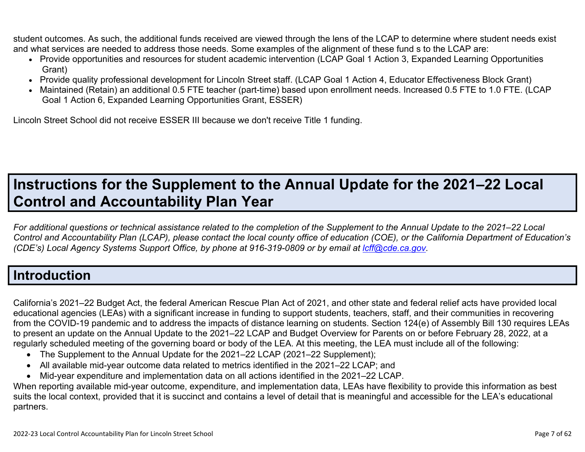student outcomes. As such, the additional funds received are viewed through the lens of the LCAP to determine where student needs exist and what services are needed to address those needs. Some examples of the alignment of these fund s to the LCAP are:

- Provide opportunities and resources for student academic intervention (LCAP Goal 1 Action 3, Expanded Learning Opportunities Grant)
- Provide quality professional development for Lincoln Street staff. (LCAP Goal 1 Action 4, Educator Effectiveness Block Grant)
- Maintained (Retain) an additional 0.5 FTE teacher (part-time) based upon enrollment needs. Increased 0.5 FTE to 1.0 FTE. (LCAP Goal 1 Action 6, Expanded Learning Opportunities Grant, ESSER)

Lincoln Street School did not receive ESSER III because we don't receive Title 1 funding.

# **Instructions for the Supplement to the Annual Update for the 2021–22 Local Control and Accountability Plan Year**

*For additional questions or technical assistance related to the completion of the Supplement to the Annual Update to the 2021–22 Local Control and Accountability Plan (LCAP), please contact the local county office of education (COE), or the California Department of Education's (CDE's)* Local Agency Systems Support Office, by phone at 916-319-0809 or by email at *[lcff@cde.ca.gov](mailto:lcff@cde.ca.gov)*.

## **Introduction**

California's 2021–22 Budget Act, the federal American Rescue Plan Act of 2021, and other state and federal relief acts have provided local educational agencies (LEAs) with a significant increase in funding to support students, teachers, staff, and their communities in recovering from the COVID-19 pandemic and to address the impacts of distance learning on students. Section 124(e) of Assembly Bill 130 requires LEAs to present an update on the Annual Update to the 2021–22 LCAP and Budget Overview for Parents on or before February 28, 2022, at a regularly scheduled meeting of the governing board or body of the LEA. At this meeting, the LEA must include all of the following:

- The Supplement to the Annual Update for the 2021–22 LCAP (2021–22 Supplement);
- All available mid-year outcome data related to metrics identified in the 2021–22 LCAP; and
- Mid-year expenditure and implementation data on all actions identified in the 2021–22 LCAP.

When reporting available mid-year outcome, expenditure, and implementation data, LEAs have flexibility to provide this information as best suits the local context, provided that it is succinct and contains a level of detail that is meaningful and accessible for the LEA's educational partners.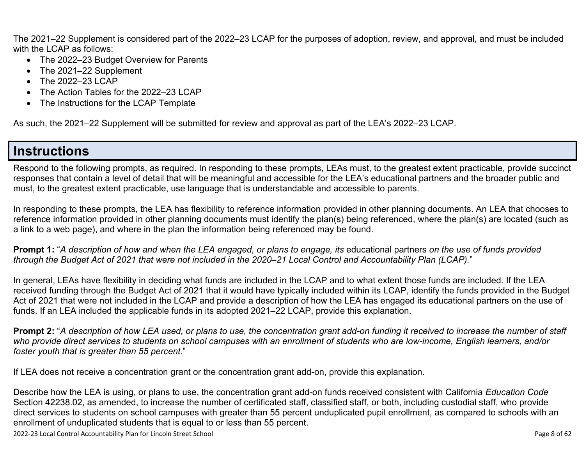The 2021–22 Supplement is considered part of the 2022–23 LCAP for the purposes of adoption, review, and approval, and must be included with the LCAP as follows:

- The 2022–23 Budget Overview for Parents
- The 2021–22 Supplement
- The 2022–23 LCAP
- The Action Tables for the 2022–23 LCAP
- The Instructions for the LCAP Template

As such, the 2021–22 Supplement will be submitted for review and approval as part of the LEA's 2022–23 LCAP.

## **Instructions**

Respond to the following prompts, as required. In responding to these prompts, LEAs must, to the greatest extent practicable, provide succinct responses that contain a level of detail that will be meaningful and accessible for the LEA's educational partners and the broader public and must, to the greatest extent practicable, use language that is understandable and accessible to parents.

In responding to these prompts, the LEA has flexibility to reference information provided in other planning documents. An LEA that chooses to reference information provided in other planning documents must identify the plan(s) being referenced, where the plan(s) are located (such as a link to a web page), and where in the plan the information being referenced may be found.

**Prompt 1:** "*A description of how and when the LEA engaged, or plans to engage, its* educational partners *on the use of funds provided through the Budget Act of 2021 that were not included in the 2020–21 Local Control and Accountability Plan (LCAP).*"

In general, LEAs have flexibility in deciding what funds are included in the LCAP and to what extent those funds are included. If the LEA received funding through the Budget Act of 2021 that it would have typically included within its LCAP, identify the funds provided in the Budget Act of 2021 that were not included in the LCAP and provide a description of how the LEA has engaged its educational partners on the use of funds. If an LEA included the applicable funds in its adopted 2021–22 LCAP, provide this explanation.

**Prompt 2:** "*A description of how LEA used, or plans to use, the concentration grant add-on funding it received to increase the number of staff who provide direct services to students on school campuses with an enrollment of students who are low-income, English learners, and/or foster youth that is greater than 55 percent.*"

If LEA does not receive a concentration grant or the concentration grant add-on, provide this explanation.

Describe how the LEA is using, or plans to use, the concentration grant add-on funds received consistent with California *Education Code* Section 42238.02, as amended, to increase the number of certificated staff, classified staff, or both, including custodial staff, who provide direct services to students on school campuses with greater than 55 percent unduplicated pupil enrollment, as compared to schools with an enrollment of unduplicated students that is equal to or less than 55 percent.

2022-23 Local Control Accountability Plan for Lincoln Street School Page 8 of 62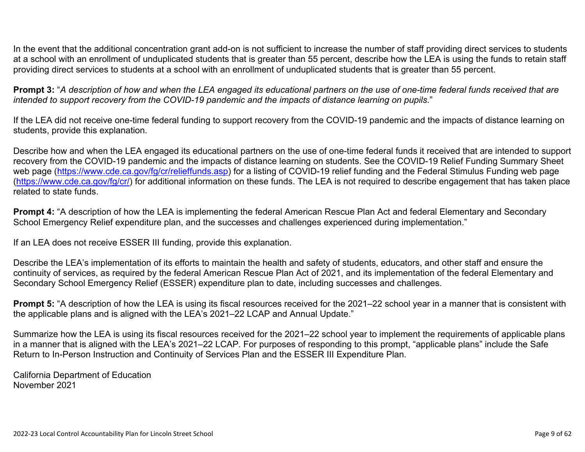In the event that the additional concentration grant add-on is not sufficient to increase the number of staff providing direct services to students at a school with an enrollment of unduplicated students that is greater than 55 percent, describe how the LEA is using the funds to retain staff providing direct services to students at a school with an enrollment of unduplicated students that is greater than 55 percent.

**Prompt 3:** "*A description of how and when the LEA engaged its educational partners on the use of one-time federal funds received that are intended to support recovery from the COVID-19 pandemic and the impacts of distance learning on pupils.*"

If the LEA did not receive one-time federal funding to support recovery from the COVID-19 pandemic and the impacts of distance learning on students, provide this explanation.

Describe how and when the LEA engaged its educational partners on the use of one-time federal funds it received that are intended to support recovery from the COVID-19 pandemic and the impacts of distance learning on students. See the COVID-19 Relief Funding Summary Sheet web page [\(https://www.cde.ca.gov/fg/cr/relieffunds.asp\)](https://www.cde.ca.gov/fg/cr/relieffunds.asp) for a listing of COVID-19 relief funding and the Federal Stimulus Funding web page (<https://www.cde.ca.gov/fg/cr/>) for additional information on these funds. The LEA is not required to describe engagement that has taken place related to state funds.

**Prompt 4:** "A description of how the LEA is implementing the federal American Rescue Plan Act and federal Elementary and Secondary School Emergency Relief expenditure plan, and the successes and challenges experienced during implementation."

If an LEA does not receive ESSER III funding, provide this explanation.

Describe the LEA's implementation of its efforts to maintain the health and safety of students, educators, and other staff and ensure the continuity of services, as required by the federal American Rescue Plan Act of 2021, and its implementation of the federal Elementary and Secondary School Emergency Relief (ESSER) expenditure plan to date, including successes and challenges.

**Prompt 5:** "A description of how the LEA is using its fiscal resources received for the 2021–22 school year in a manner that is consistent with the applicable plans and is aligned with the LEA's 2021–22 LCAP and Annual Update."

Summarize how the LEA is using its fiscal resources received for the 2021–22 school year to implement the requirements of applicable plans in a manner that is aligned with the LEA's 2021–22 LCAP. For purposes of responding to this prompt, "applicable plans" include the Safe Return to In-Person Instruction and Continuity of Services Plan and the ESSER III Expenditure Plan.

California Department of Education November 2021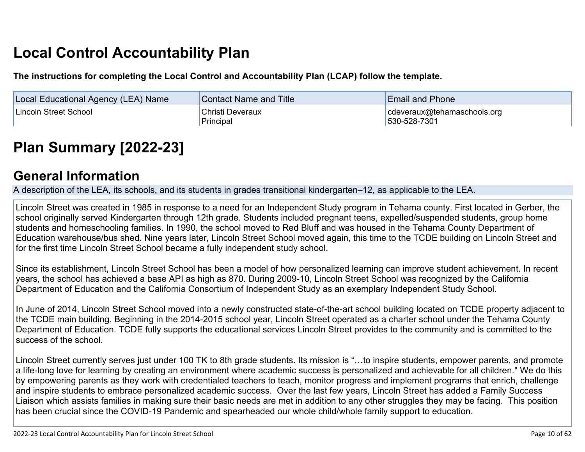# **Local Control Accountability Plan**

**The instructions for completing the Local Control and Accountability Plan (LCAP) follow the template.**

| Local Educational Agency (LEA) Name | <b>Contact Name and Title</b> | <b>Email and Phone</b>                      |
|-------------------------------------|-------------------------------|---------------------------------------------|
| Lincoln Street School               | Christi Deveraux<br>Principal | cdeveraux@tehamaschools.org<br>530-528-7301 |

# **[Plan Summary \[2022-23\]](http://www.doc-tracking.com/screenshots/22LCAP/Instructions/22LCAPInstructions.htm#PlanSummary)**

### **[General Information](http://www.doc-tracking.com/screenshots/22LCAP/Instructions/22LCAPInstructions.htm#generalinformation)**

A description of the LEA, its schools, and its students in grades transitional kindergarten–12, as applicable to the LEA.

Lincoln Street was created in 1985 in response to a need for an Independent Study program in Tehama county. First located in Gerber, the school originally served Kindergarten through 12th grade. Students included pregnant teens, expelled/suspended students, group home students and homeschooling families. In 1990, the school moved to Red Bluff and was housed in the Tehama County Department of Education warehouse/bus shed. Nine years later, Lincoln Street School moved again, this time to the TCDE building on Lincoln Street and for the first time Lincoln Street School became a fully independent study school.

Since its establishment, Lincoln Street School has been a model of how personalized learning can improve student achievement. In recent years, the school has achieved a base API as high as 870. During 2009-10, Lincoln Street School was recognized by the California Department of Education and the California Consortium of Independent Study as an exemplary Independent Study School.

In June of 2014, Lincoln Street School moved into a newly constructed state-of-the-art school building located on TCDE property adjacent to the TCDE main building. Beginning in the 2014-2015 school year, Lincoln Street operated as a charter school under the Tehama County Department of Education. TCDE fully supports the educational services Lincoln Street provides to the community and is committed to the success of the school.

Lincoln Street currently serves just under 100 TK to 8th grade students. Its mission is "…to inspire students, empower parents, and promote a life-long love for learning by creating an environment where academic success is personalized and achievable for all children." We do this by empowering parents as they work with credentialed teachers to teach, monitor progress and implement programs that enrich, challenge and inspire students to embrace personalized academic success. Over the last few years, Lincoln Street has added a Family Success Liaison which assists families in making sure their basic needs are met in addition to any other struggles they may be facing. This position has been crucial since the COVID-19 Pandemic and spearheaded our whole child/whole family support to education.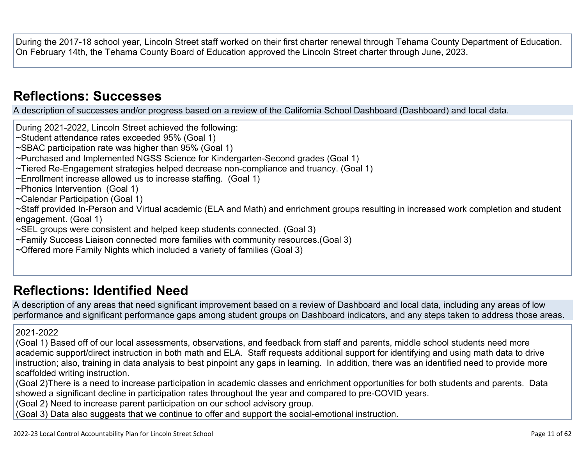During the 2017-18 school year, Lincoln Street staff worked on their first charter renewal through Tehama County Department of Education. On February 14th, the Tehama County Board of Education approved the Lincoln Street charter through June, 2023.

### **[Reflections: Successes](http://www.doc-tracking.com/screenshots/22LCAP/Instructions/22LCAPInstructions.htm#ReflectionsSuccesses)**

A description of successes and/or progress based on a review of the California School Dashboard (Dashboard) and local data.

During 2021-2022, Lincoln Street achieved the following:

~Student attendance rates exceeded 95% (Goal 1)

~SBAC participation rate was higher than 95% (Goal 1)

~Purchased and Implemented NGSS Science for Kindergarten-Second grades (Goal 1)

~Tiered Re-Engagement strategies helped decrease non-compliance and truancy. (Goal 1)

~Enrollment increase allowed us to increase staffing. (Goal 1)

~Phonics Intervention (Goal 1)

~Calendar Participation (Goal 1)

~Staff provided In-Person and Virtual academic (ELA and Math) and enrichment groups resulting in increased work completion and student engagement. (Goal 1)

~SEL groups were consistent and helped keep students connected. (Goal 3)

~Family Success Liaison connected more families with community resources.(Goal 3)

~Offered more Family Nights which included a variety of families (Goal 3)

## **[Reflections: Identified Need](http://www.doc-tracking.com/screenshots/22LCAP/Instructions/22LCAPInstructions.htm#ReflectionsIdentifiedNeed)**

A description of any areas that need significant improvement based on a review of Dashboard and local data, including any areas of low performance and significant performance gaps among student groups on Dashboard indicators, and any steps taken to address those areas.

#### 2021-2022

(Goal 1) Based off of our local assessments, observations, and feedback from staff and parents, middle school students need more academic support/direct instruction in both math and ELA. Staff requests additional support for identifying and using math data to drive instruction; also, training in data analysis to best pinpoint any gaps in learning. In addition, there was an identified need to provide more scaffolded writing instruction.

(Goal 2)There is a need to increase participation in academic classes and enrichment opportunities for both students and parents. Data showed a significant decline in participation rates throughout the year and compared to pre-COVID years.

(Goal 2) Need to increase parent participation on our school advisory group.

(Goal 3) Data also suggests that we continue to offer and support the social-emotional instruction.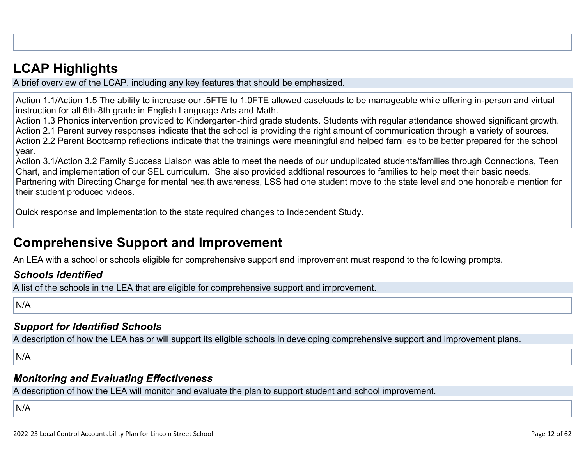## **[LCAP Highlights](http://www.doc-tracking.com/screenshots/22LCAP/Instructions/22LCAPInstructions.htm#LCAPHighlights)**

A brief overview of the LCAP, including any key features that should be emphasized.

Action 1.1/Action 1.5 The ability to increase our .5FTE to 1.0FTE allowed caseloads to be manageable while offering in-person and virtual instruction for all 6th-8th grade in English Language Arts and Math.

Action 1.3 Phonics intervention provided to Kindergarten-third grade students. Students with regular attendance showed significant growth. Action 2.1 Parent survey responses indicate that the school is providing the right amount of communication through a variety of sources. Action 2.2 Parent Bootcamp reflections indicate that the trainings were meaningful and helped families to be better prepared for the school year.

Action 3.1/Action 3.2 Family Success Liaison was able to meet the needs of our unduplicated students/families through Connections, Teen Chart, and implementation of our SEL curriculum. She also provided addtional resources to families to help meet their basic needs. Partnering with Directing Change for mental health awareness, LSS had one student move to the state level and one honorable mention for their student produced videos.

Quick response and implementation to the state required changes to Independent Study.

## **Comprehensive Support and Improvement**

An LEA with a school or schools eligible for comprehensive support and improvement must respond to the following prompts.

### *[Schools Identified](http://www.doc-tracking.com/screenshots/22LCAP/Instructions/22LCAPInstructions.htm#SchoolsIdentified)*

A list of the schools in the LEA that are eligible for comprehensive support and improvement.

N/A

### *[Support for Identified Schools](http://www.doc-tracking.com/screenshots/22LCAP/Instructions/22LCAPInstructions.htm#SupportforIdentifiedSchools)*

A description of how the LEA has or will support its eligible schools in developing comprehensive support and improvement plans.

N/A

### *[Monitoring and Evaluating Effectiveness](http://www.doc-tracking.com/screenshots/22LCAP/Instructions/22LCAPInstructions.htm#MonitoringandEvaluatingEffectiveness)*

A description of how the LEA will monitor and evaluate the plan to support student and school improvement.

N/A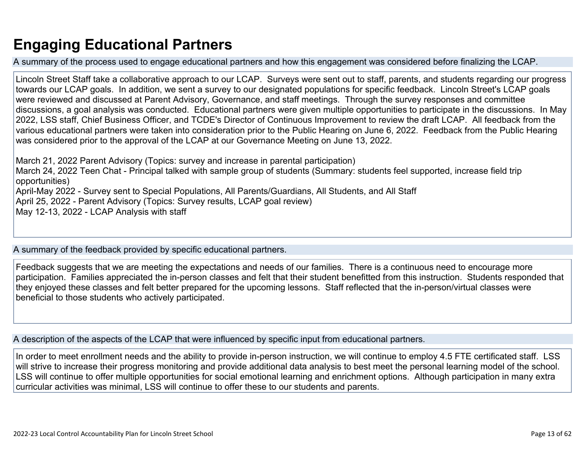## **Engaging Educational Partners**

A summary of the process used to engage educational partners and how this engagement was considered before finalizing the LCAP.

Lincoln Street Staff take a collaborative approach to our LCAP. Surveys were sent out to staff, parents, and students regarding our progress towards our LCAP goals. In addition, we sent a survey to our designated populations for specific feedback. Lincoln Street's LCAP goals were reviewed and discussed at Parent Advisory, Governance, and staff meetings. Through the survey responses and committee discussions, a goal analysis was conducted. Educational partners were given multiple opportunities to participate in the discussions. In May 2022, LSS staff, Chief Business Officer, and TCDE's Director of Continuous Improvement to review the draft LCAP. All feedback from the various educational partners were taken into consideration prior to the Public Hearing on June 6, 2022. Feedback from the Public Hearing was considered prior to the approval of the LCAP at our Governance Meeting on June 13, 2022.

March 21, 2022 Parent Advisory (Topics: survey and increase in parental participation) March 24, 2022 Teen Chat - Principal talked with sample group of students (Summary: students feel supported, increase field trip opportunities) April-May 2022 - Survey sent to Special Populations, All Parents/Guardians, All Students, and All Staff April 25, 2022 - Parent Advisory (Topics: Survey results, LCAP goal review) May 12-13, 2022 - LCAP Analysis with staff

A summary of the feedback provided by specific educational partners.

Feedback suggests that we are meeting the expectations and needs of our families. There is a continuous need to encourage more participation. Families appreciated the in-person classes and felt that their student benefitted from this instruction. Students responded that they enjoyed these classes and felt better prepared for the upcoming lessons. Staff reflected that the in-person/virtual classes were beneficial to those students who actively participated.

A description of the aspects of the LCAP that were influenced by specific input from educational partners.

In order to meet enrollment needs and the ability to provide in-person instruction, we will continue to employ 4.5 FTE certificated staff. LSS will strive to increase their progress monitoring and provide additional data analysis to best meet the personal learning model of the school. LSS will continue to offer multiple opportunities for social emotional learning and enrichment options. Although participation in many extra curricular activities was minimal, LSS will continue to offer these to our students and parents.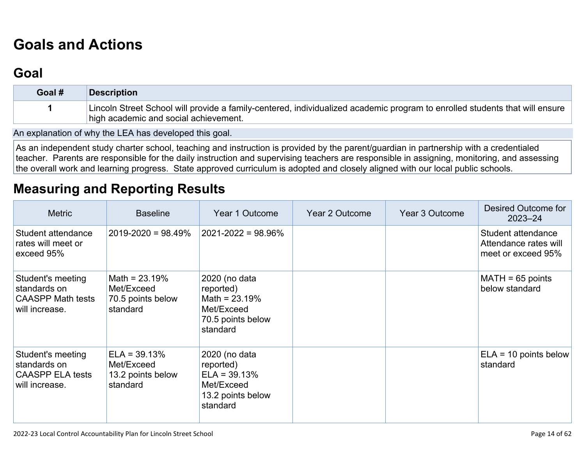# **[Goals and Actions](http://www.doc-tracking.com/screenshots/22LCAP/Instructions/22LCAPInstructions.htm#GoalsandActions)**

## **[Goal](http://www.doc-tracking.com/screenshots/22LCAP/Instructions/22LCAPInstructions.htm#goalDescription)**

| Goal # | <b>Description</b>                                                                                                                                                   |
|--------|----------------------------------------------------------------------------------------------------------------------------------------------------------------------|
|        | Lincoln Street School will provide a family-centered, individualized academic program to enrolled students that will ensure<br>high academic and social achievement. |

An explanation of why the LEA has developed this goal.

As an independent study charter school, teaching and instruction is provided by the parent/guardian in partnership with a credentialed teacher. Parents are responsible for the daily instruction and supervising teachers are responsible in assigning, monitoring, and assessing the overall work and learning progress. State approved curriculum is adopted and closely aligned with our local public schools.

## **[Measuring and Reporting Results](http://www.doc-tracking.com/screenshots/22LCAP/Instructions/22LCAPInstructions.htm#MeasuringandReportingResults)**

| <b>Metric</b>                                                                   | <b>Baseline</b>                                                | Year 1 Outcome                                                                               | Year 2 Outcome | Year 3 Outcome | Desired Outcome for<br>$2023 - 24$                                |
|---------------------------------------------------------------------------------|----------------------------------------------------------------|----------------------------------------------------------------------------------------------|----------------|----------------|-------------------------------------------------------------------|
| Student attendance<br>rates will meet or<br>exceed 95%                          | $2019 - 2020 = 98.49\%$                                        | $ 2021 - 2022  = 98.96\%$                                                                    |                |                | Student attendance<br>Attendance rates will<br>meet or exceed 95% |
| Student's meeting<br>standards on<br><b>CAASPP Math tests</b><br>will increase. | Math = $23.19%$<br>Met/Exceed<br>70.5 points below<br>standard | 2020 (no data<br>reported)<br>Math = $23.19%$<br>Met/Exceed<br>70.5 points below<br>standard |                |                | $MATH = 65$ points<br>below standard                              |
| Student's meeting<br>standards on<br><b>CAASPP ELA tests</b><br>will increase.  | $ELA = 39.13%$<br>Met/Exceed<br>13.2 points below<br>standard  | 2020 (no data<br>reported)<br>$ELA = 39.13%$<br>Met/Exceed<br>13.2 points below<br>standard  |                |                | $ELA = 10$ points below<br>standard                               |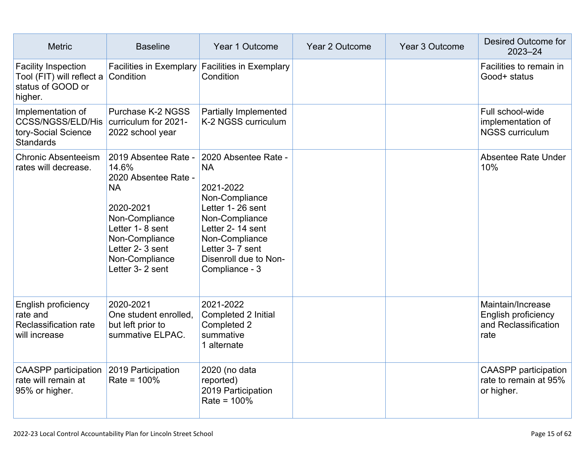| <b>Metric</b>                                                                            | <b>Baseline</b>                                                                                                                                                                                | Year 1 Outcome                                                                                                                                                                                             | Year 2 Outcome | Year 3 Outcome | Desired Outcome for<br>$2023 - 24$                                       |
|------------------------------------------------------------------------------------------|------------------------------------------------------------------------------------------------------------------------------------------------------------------------------------------------|------------------------------------------------------------------------------------------------------------------------------------------------------------------------------------------------------------|----------------|----------------|--------------------------------------------------------------------------|
| <b>Facility Inspection</b><br>Tool (FIT) will reflect a<br>status of GOOD or<br>higher.  | <b>Facilities in Exemplary</b><br>Condition                                                                                                                                                    | <b>Facilities in Exemplary</b><br>Condition                                                                                                                                                                |                |                | Facilities to remain in<br>Good+ status                                  |
| Implementation of<br><b>CCSS/NGSS/ELD/His</b><br>tory-Social Science<br><b>Standards</b> | Purchase K-2 NGSS<br>curriculum for 2021-<br>2022 school year                                                                                                                                  | <b>Partially Implemented</b><br>K-2 NGSS curriculum                                                                                                                                                        |                |                | Full school-wide<br>implementation of<br><b>NGSS curriculum</b>          |
| <b>Chronic Absenteeism</b><br>rates will decrease.                                       | 2019 Absentee Rate -<br>14.6%<br>2020 Absentee Rate -<br><b>NA</b><br>2020-2021<br>Non-Compliance<br>Letter 1-8 sent<br>Non-Compliance<br>Letter 2-3 sent<br>Non-Compliance<br>Letter 3-2 sent | 2020 Absentee Rate -<br><b>NA</b><br>2021-2022<br>Non-Compliance<br>Letter 1-26 sent<br>Non-Compliance<br>Letter 2-14 sent<br>Non-Compliance<br>Letter 3-7 sent<br>Disenroll due to Non-<br>Compliance - 3 |                |                | <b>Absentee Rate Under</b><br>10%                                        |
| English proficiency<br>rate and<br>Reclassification rate<br>will increase                | 2020-2021<br>One student enrolled,<br>but left prior to<br>summative ELPAC.                                                                                                                    | 2021-2022<br>Completed 2 Initial<br>Completed 2<br>summative<br>1 alternate                                                                                                                                |                |                | Maintain/Increase<br>English proficiency<br>and Reclassification<br>rate |
| <b>CAASPP</b> participation<br>rate will remain at<br>95% or higher.                     | 2019 Participation<br>$Rate = 100%$                                                                                                                                                            | 2020 (no data<br>reported)<br>2019 Participation<br>$Rate = 100%$                                                                                                                                          |                |                | <b>CAASPP</b> participation<br>rate to remain at 95%<br>or higher.       |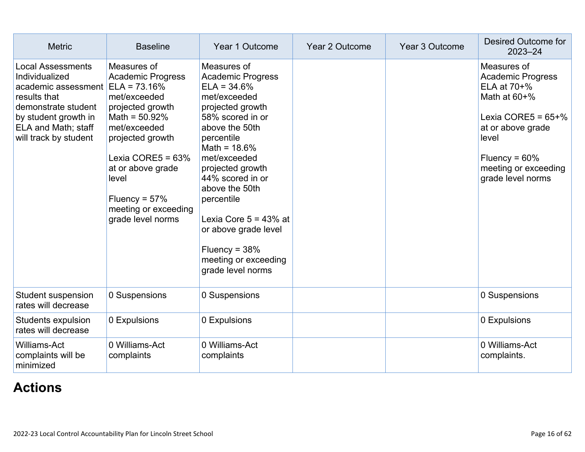| <b>Metric</b>                                                                                                                                                                                     | <b>Baseline</b>                                                                                                                                                                                                                                            | Year 1 Outcome                                                                                                                                                                                                                                                                                                                                                                  | Year 2 Outcome | Year 3 Outcome | Desired Outcome for<br>$2023 - 24$                                                                                                                                                              |
|---------------------------------------------------------------------------------------------------------------------------------------------------------------------------------------------------|------------------------------------------------------------------------------------------------------------------------------------------------------------------------------------------------------------------------------------------------------------|---------------------------------------------------------------------------------------------------------------------------------------------------------------------------------------------------------------------------------------------------------------------------------------------------------------------------------------------------------------------------------|----------------|----------------|-------------------------------------------------------------------------------------------------------------------------------------------------------------------------------------------------|
| <b>Local Assessments</b><br>Individualized<br>academic assessment $ ELA = 73.16\%$<br>results that<br>demonstrate student<br>by student growth in<br>ELA and Math; staff<br>will track by student | Measures of<br><b>Academic Progress</b><br>met/exceeded<br>projected growth<br>Math = $50.92\%$<br>met/exceeded<br>projected growth<br>Lexia CORE5 = $63\%$<br>at or above grade<br>level<br>Fluency = $57\%$<br>meeting or exceeding<br>grade level norms | Measures of<br><b>Academic Progress</b><br>$ELA = 34.6%$<br>met/exceeded<br>projected growth<br>58% scored in or<br>above the 50th<br>percentile<br>Math = $18.6\%$<br>met/exceeded<br>projected growth<br>44% scored in or<br>above the 50th<br>percentile<br>Lexia Core $5 = 43\%$ at<br>or above grade level<br>Fluency = $38%$<br>meeting or exceeding<br>grade level norms |                |                | Measures of<br><b>Academic Progress</b><br>ELA at 70+%<br>Math at $60+%$<br>Lexia CORE5 = $65+%$<br>at or above grade<br>level<br>Fluency = $60\%$<br>meeting or exceeding<br>grade level norms |
| <b>Student suspension</b><br>rates will decrease                                                                                                                                                  | 0 Suspensions                                                                                                                                                                                                                                              | 0 Suspensions                                                                                                                                                                                                                                                                                                                                                                   |                |                | 0 Suspensions                                                                                                                                                                                   |
| <b>Students expulsion</b><br>rates will decrease                                                                                                                                                  | 0 Expulsions                                                                                                                                                                                                                                               | 0 Expulsions                                                                                                                                                                                                                                                                                                                                                                    |                |                | 0 Expulsions                                                                                                                                                                                    |
| <b>Williams-Act</b><br>complaints will be<br>minimized                                                                                                                                            | 0 Williams-Act<br>complaints                                                                                                                                                                                                                               | 0 Williams-Act<br>complaints                                                                                                                                                                                                                                                                                                                                                    |                |                | 0 Williams-Act<br>complaints.                                                                                                                                                                   |

## **[Actions](http://www.doc-tracking.com/screenshots/22LCAP/Instructions/22LCAPInstructions.htm#actions)**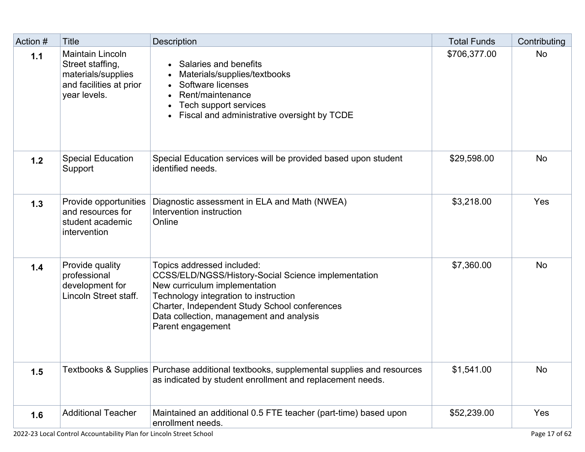| Action # | <b>Title</b>                                                                                                 | <b>Description</b>                                                                                                                                                                                                                                                                   | <b>Total Funds</b> | Contributing |
|----------|--------------------------------------------------------------------------------------------------------------|--------------------------------------------------------------------------------------------------------------------------------------------------------------------------------------------------------------------------------------------------------------------------------------|--------------------|--------------|
| 1.1      | <b>Maintain Lincoln</b><br>Street staffing,<br>materials/supplies<br>and facilities at prior<br>year levels. | Salaries and benefits<br>Materials/supplies/textbooks<br>Software licenses<br>$\bullet$<br>Rent/maintenance<br>Tech support services<br>Fiscal and administrative oversight by TCDE<br>$\bullet$                                                                                     | \$706,377.00       | <b>No</b>    |
| 1.2      | <b>Special Education</b><br>Support                                                                          | Special Education services will be provided based upon student<br>identified needs.                                                                                                                                                                                                  | \$29,598.00        | <b>No</b>    |
| 1.3      | Provide opportunities<br>and resources for<br>student academic<br>intervention                               | Diagnostic assessment in ELA and Math (NWEA)<br>Intervention instruction<br>Online                                                                                                                                                                                                   | \$3,218.00         | Yes          |
| 1.4      | Provide quality<br>professional<br>development for<br>Lincoln Street staff.                                  | Topics addressed included:<br><b>CCSS/ELD/NGSS/History-Social Science implementation</b><br>New curriculum implementation<br>Technology integration to instruction<br>Charter, Independent Study School conferences<br>Data collection, management and analysis<br>Parent engagement | \$7,360.00         | <b>No</b>    |
| 1.5      |                                                                                                              | Textbooks & Supplies Purchase additional textbooks, supplemental supplies and resources<br>as indicated by student enrollment and replacement needs.                                                                                                                                 | \$1,541.00         | <b>No</b>    |
| 1.6      | <b>Additional Teacher</b>                                                                                    | Maintained an additional 0.5 FTE teacher (part-time) based upon<br>enrollment needs.                                                                                                                                                                                                 | \$52,239.00        | Yes          |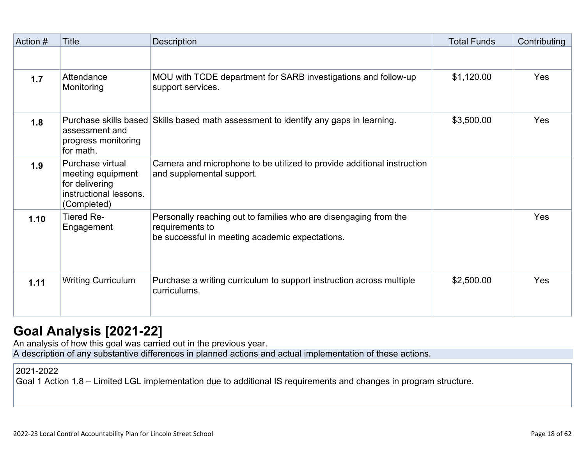| Action # | Title                                                                                            | Description                                                                                                                            | <b>Total Funds</b> | Contributing |
|----------|--------------------------------------------------------------------------------------------------|----------------------------------------------------------------------------------------------------------------------------------------|--------------------|--------------|
|          |                                                                                                  |                                                                                                                                        |                    |              |
| 1.7      | Attendance<br>Monitoring                                                                         | MOU with TCDE department for SARB investigations and follow-up<br>support services.                                                    | \$1,120.00         | Yes          |
| 1.8      | assessment and<br>progress monitoring<br>for math.                                               | Purchase skills based Skills based math assessment to identify any gaps in learning.                                                   | \$3,500.00         | Yes          |
| 1.9      | Purchase virtual<br>meeting equipment<br>for delivering<br>instructional lessons.<br>(Completed) | Camera and microphone to be utilized to provide additional instruction<br>and supplemental support.                                    |                    |              |
| 1.10     | <b>Tiered Re-</b><br>Engagement                                                                  | Personally reaching out to families who are disengaging from the<br>requirements to<br>be successful in meeting academic expectations. |                    | Yes          |
| 1.11     | <b>Writing Curriculum</b>                                                                        | Purchase a writing curriculum to support instruction across multiple<br>curriculums.                                                   | \$2,500.00         | Yes          |

## **[Goal Analysis \[2021-22\]](http://www.doc-tracking.com/screenshots/22LCAP/Instructions/22LCAPInstructions.htm#GoalAnalysis)**

An analysis of how this goal was carried out in the previous year.

A description of any substantive differences in planned actions and actual implementation of these actions.

### 2021-2022

Goal 1 Action 1.8 – Limited LGL implementation due to additional IS requirements and changes in program structure.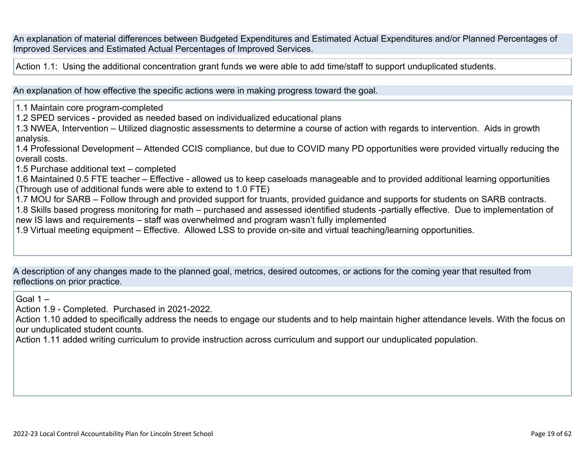An explanation of material differences between Budgeted Expenditures and Estimated Actual Expenditures and/or Planned Percentages of Improved Services and Estimated Actual Percentages of Improved Services.

Action 1.1: Using the additional concentration grant funds we were able to add time/staff to support unduplicated students.

An explanation of how effective the specific actions were in making progress toward the goal.

1.1 Maintain core program-completed

1.2 SPED services - provided as needed based on individualized educational plans

1.3 NWEA, Intervention – Utilized diagnostic assessments to determine a course of action with regards to intervention. Aids in growth analysis.

1.4 Professional Development – Attended CCIS compliance, but due to COVID many PD opportunities were provided virtually reducing the overall costs.

1.5 Purchase additional text – completed

1.6 Maintained 0.5 FTE teacher – Effective - allowed us to keep caseloads manageable and to provided additional learning opportunities (Through use of additional funds were able to extend to 1.0 FTE)

1.7 MOU for SARB – Follow through and provided support for truants, provided guidance and supports for students on SARB contracts.

1.8 Skills based progress monitoring for math – purchased and assessed identified students -partially effective. Due to implementation of new IS laws and requirements – staff was overwhelmed and program wasn't fully implemented

1.9 Virtual meeting equipment – Effective. Allowed LSS to provide on-site and virtual teaching/learning opportunities.

A description of any changes made to the planned goal, metrics, desired outcomes, or actions for the coming year that resulted from reflections on prior practice.

Goal  $1 -$ 

Action 1.9 - Completed. Purchased in 2021-2022.

Action 1.10 added to specifically address the needs to engage our students and to help maintain higher attendance levels. With the focus on our unduplicated student counts.

Action 1.11 added writing curriculum to provide instruction across curriculum and support our unduplicated population.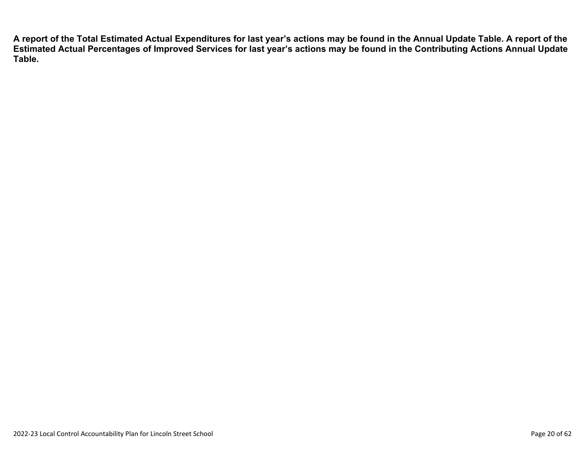**A report of the Total Estimated Actual Expenditures for last year's actions may be found in the Annual Update Table. A report of the Estimated Actual Percentages of Improved Services for last year's actions may be found in the Contributing Actions Annual Update Table.**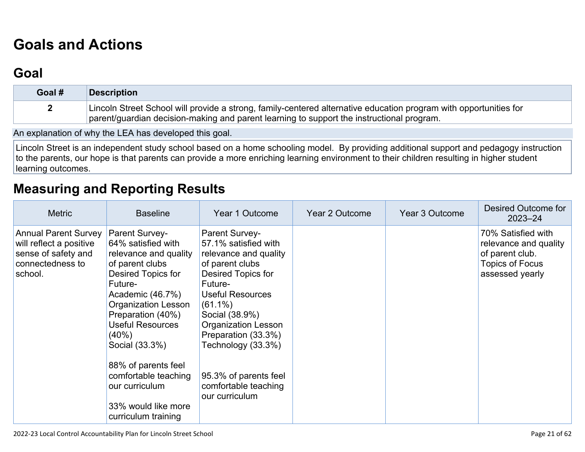# **[Goals and Actions](http://www.doc-tracking.com/screenshots/22LCAP/Instructions/22LCAPInstructions.htm#GoalsandActions)**

## **[Goal](http://www.doc-tracking.com/screenshots/22LCAP/Instructions/22LCAPInstructions.htm#goalDescription)**

| Goal # | Description                                                                                                       |
|--------|-------------------------------------------------------------------------------------------------------------------|
|        | Lincoln Street School will provide a strong, family-centered alternative education program with opportunities for |
|        | parent/guardian decision-making and parent learning to support the instructional program.                         |

An explanation of why the LEA has developed this goal.

Lincoln Street is an independent study school based on a home schooling model. By providing additional support and pedagogy instruction to the parents, our hope is that parents can provide a more enriching learning environment to their children resulting in higher student learning outcomes.

## **[Measuring and Reporting Results](http://www.doc-tracking.com/screenshots/22LCAP/Instructions/22LCAPInstructions.htm#MeasuringandReportingResults)**

| <b>Metric</b>                                                                                                | <b>Baseline</b>                                                                                                                                                                                                                                                                                                                                                         | Year 1 Outcome                                                                                                                                                                                                                                                                                                                      | Year 2 Outcome | Year 3 Outcome | Desired Outcome for<br>$2023 - 24$                                                                          |
|--------------------------------------------------------------------------------------------------------------|-------------------------------------------------------------------------------------------------------------------------------------------------------------------------------------------------------------------------------------------------------------------------------------------------------------------------------------------------------------------------|-------------------------------------------------------------------------------------------------------------------------------------------------------------------------------------------------------------------------------------------------------------------------------------------------------------------------------------|----------------|----------------|-------------------------------------------------------------------------------------------------------------|
| <b>Annual Parent Survey</b><br>will reflect a positive<br>sense of safety and<br>connectedness to<br>school. | <b>Parent Survey-</b><br>64% satisfied with<br>relevance and quality<br>of parent clubs<br>Desired Topics for<br>Future-<br>Academic (46.7%)<br><b>Organization Lesson</b><br>Preparation (40%)<br><b>Useful Resources</b><br>$(40\%)$<br>Social (33.3%)<br>88% of parents feel<br>comfortable teaching<br>our curriculum<br>33% would like more<br>curriculum training | <b>Parent Survey-</b><br>57.1% satisfied with<br>relevance and quality<br>of parent clubs<br>Desired Topics for<br>Future-<br><b>Useful Resources</b><br>$(61.1\%)$<br>Social (38.9%)<br><b>Organization Lesson</b><br>Preparation (33.3%)<br>Technology (33.3%)<br>95.3% of parents feel<br>comfortable teaching<br>our curriculum |                |                | 70% Satisfied with<br>relevance and quality<br>of parent club.<br><b>Topics of Focus</b><br>assessed yearly |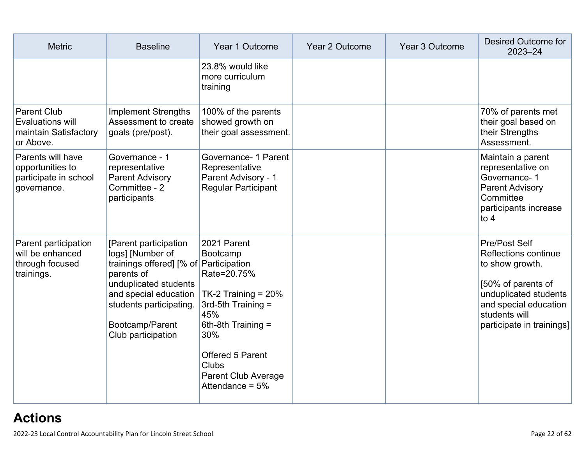| <b>Metric</b>                                                                       | <b>Baseline</b>                                                                                                                                                                                                          | Year 1 Outcome                                                                                                                                                                                                    | Year 2 Outcome | Year 3 Outcome | <b>Desired Outcome for</b><br>$2023 - 24$                                                                                                                                      |
|-------------------------------------------------------------------------------------|--------------------------------------------------------------------------------------------------------------------------------------------------------------------------------------------------------------------------|-------------------------------------------------------------------------------------------------------------------------------------------------------------------------------------------------------------------|----------------|----------------|--------------------------------------------------------------------------------------------------------------------------------------------------------------------------------|
|                                                                                     |                                                                                                                                                                                                                          | 23.8% would like<br>more curriculum<br>training                                                                                                                                                                   |                |                |                                                                                                                                                                                |
| <b>Parent Club</b><br><b>Evaluations will</b><br>maintain Satisfactory<br>or Above. | <b>Implement Strengths</b><br>Assessment to create<br>goals (pre/post).                                                                                                                                                  | 100% of the parents<br>showed growth on<br>their goal assessment.                                                                                                                                                 |                |                | 70% of parents met<br>their goal based on<br>their Strengths<br>Assessment.                                                                                                    |
| Parents will have<br>opportunities to<br>participate in school<br>governance.       | Governance - 1<br>representative<br><b>Parent Advisory</b><br>Committee - 2<br>participants                                                                                                                              | Governance- 1 Parent<br>Representative<br>Parent Advisory - 1<br><b>Regular Participant</b>                                                                                                                       |                |                | Maintain a parent<br>representative on<br>Governance-1<br><b>Parent Advisory</b><br>Committee<br>participants increase<br>to $4$                                               |
| Parent participation<br>will be enhanced<br>through focused<br>trainings.           | [Parent participation]<br>logs] [Number of<br>trainings offered] [% of Participation<br>parents of<br>unduplicated students<br>and special education<br>students participating.<br>Bootcamp/Parent<br>Club participation | 2021 Parent<br>Bootcamp<br>Rate=20.75%<br>TK-2 Training = $20\%$<br>3rd-5th Training =<br>45%<br>6th-8th Training =<br>30%<br>Offered 5 Parent<br><b>Clubs</b><br><b>Parent Club Average</b><br>Attendance = $5%$ |                |                | Pre/Post Self<br>Reflections continue<br>to show growth.<br>[50% of parents of<br>unduplicated students<br>and special education<br>students will<br>participate in trainings] |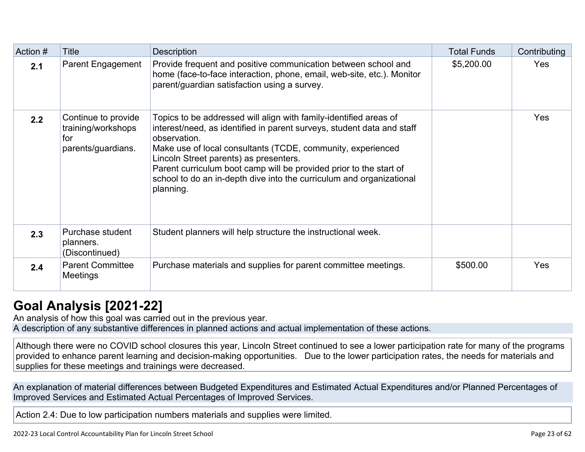| Action # | Title                                                                  | <b>Description</b>                                                                                                                                                                                                                                                                                                                                                                                                              | <b>Total Funds</b> | Contributing |
|----------|------------------------------------------------------------------------|---------------------------------------------------------------------------------------------------------------------------------------------------------------------------------------------------------------------------------------------------------------------------------------------------------------------------------------------------------------------------------------------------------------------------------|--------------------|--------------|
| 2.1      | <b>Parent Engagement</b>                                               | Provide frequent and positive communication between school and<br>home (face-to-face interaction, phone, email, web-site, etc.). Monitor<br>parent/guardian satisfaction using a survey.                                                                                                                                                                                                                                        | \$5,200.00         | Yes          |
| 2.2      | Continue to provide<br>training/workshops<br>for<br>parents/guardians. | Topics to be addressed will align with family-identified areas of<br>interest/need, as identified in parent surveys, student data and staff<br>observation.<br>Make use of local consultants (TCDE, community, experienced<br>Lincoln Street parents) as presenters.<br>Parent curriculum boot camp will be provided prior to the start of<br>school to do an in-depth dive into the curriculum and organizational<br>planning. |                    | Yes          |
| 2.3      | Purchase student<br>planners.<br>(Discontinued)                        | Student planners will help structure the instructional week.                                                                                                                                                                                                                                                                                                                                                                    |                    |              |
| 2.4      | <b>Parent Committee</b><br><b>Meetings</b>                             | Purchase materials and supplies for parent committee meetings.                                                                                                                                                                                                                                                                                                                                                                  | \$500.00           | <b>Yes</b>   |

## **[Goal Analysis \[2021-22\]](http://www.doc-tracking.com/screenshots/22LCAP/Instructions/22LCAPInstructions.htm#GoalAnalysis)**

An analysis of how this goal was carried out in the previous year. A description of any substantive differences in planned actions and actual implementation of these actions.

Although there were no COVID school closures this year, Lincoln Street continued to see a lower participation rate for many of the programs provided to enhance parent learning and decision-making opportunities. Due to the lower participation rates, the needs for materials and supplies for these meetings and trainings were decreased.

An explanation of material differences between Budgeted Expenditures and Estimated Actual Expenditures and/or Planned Percentages of Improved Services and Estimated Actual Percentages of Improved Services.

Action 2.4: Due to low participation numbers materials and supplies were limited.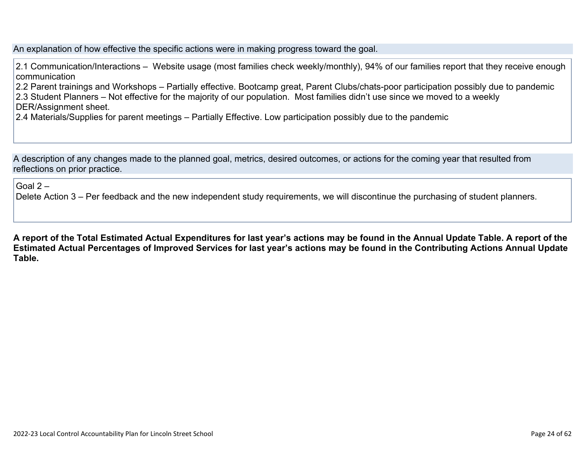An explanation of how effective the specific actions were in making progress toward the goal.

2.1 Communication/Interactions – Website usage (most families check weekly/monthly), 94% of our families report that they receive enough communication

2.2 Parent trainings and Workshops – Partially effective. Bootcamp great, Parent Clubs/chats-poor participation possibly due to pandemic

2.3 Student Planners – Not effective for the majority of our population. Most families didn't use since we moved to a weekly

- DER/Assignment sheet.
- 2.4 Materials/Supplies for parent meetings Partially Effective. Low participation possibly due to the pandemic

A description of any changes made to the planned goal, metrics, desired outcomes, or actions for the coming year that resulted from reflections on prior practice.

Goal  $2 -$ 

Delete Action 3 – Per feedback and the new independent study requirements, we will discontinue the purchasing of student planners.

**A report of the Total Estimated Actual Expenditures for last year's actions may be found in the Annual Update Table. A report of the Estimated Actual Percentages of Improved Services for last year's actions may be found in the Contributing Actions Annual Update Table.**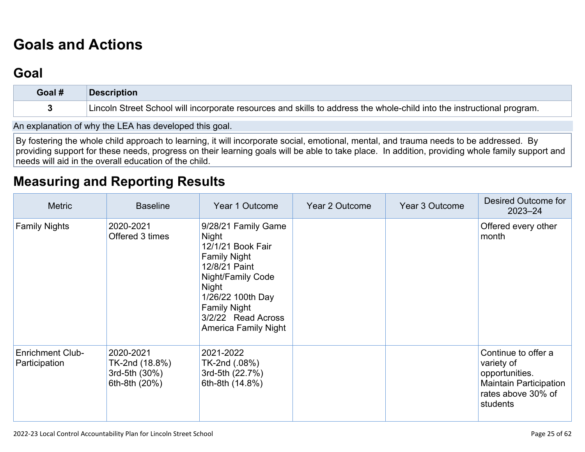# **[Goals and Actions](http://www.doc-tracking.com/screenshots/22LCAP/Instructions/22LCAPInstructions.htm#GoalsandActions)**

## **[Goal](http://www.doc-tracking.com/screenshots/22LCAP/Instructions/22LCAPInstructions.htm#goalDescription)**

| Goal # | <b>Description</b>                                                                                                     |
|--------|------------------------------------------------------------------------------------------------------------------------|
|        | Lincoln Street School will incorporate resources and skills to address the whole-child into the instructional program. |

An explanation of why the LEA has developed this goal.

By fostering the whole child approach to learning, it will incorporate social, emotional, mental, and trauma needs to be addressed. By providing support for these needs, progress on their learning goals will be able to take place. In addition, providing whole family support and needs will aid in the overall education of the child.

## **[Measuring and Reporting Results](http://www.doc-tracking.com/screenshots/22LCAP/Instructions/22LCAPInstructions.htm#MeasuringandReportingResults)**

| <b>Metric</b>                            | <b>Baseline</b>                                               | Year 1 Outcome                                                                                                                                                                                                           | Year 2 Outcome | Year 3 Outcome | Desired Outcome for<br>$2023 - 24$                                                                                     |
|------------------------------------------|---------------------------------------------------------------|--------------------------------------------------------------------------------------------------------------------------------------------------------------------------------------------------------------------------|----------------|----------------|------------------------------------------------------------------------------------------------------------------------|
| <b>Family Nights</b>                     | 2020-2021<br>Offered 3 times                                  | 9/28/21 Family Game<br>Night<br>12/1/21 Book Fair<br><b>Family Night</b><br>12/8/21 Paint<br>Night/Family Code<br>Night<br>1/26/22 100th Day<br><b>Family Night</b><br>3/2/22 Read Across<br><b>America Family Night</b> |                |                | Offered every other<br>month                                                                                           |
| <b>Enrichment Club-</b><br>Participation | 2020-2021<br>TK-2nd (18.8%)<br>3rd-5th (30%)<br>6th-8th (20%) | 2021-2022<br>TK-2nd (.08%)<br>3rd-5th (22.7%)<br>6th-8th (14.8%)                                                                                                                                                         |                |                | Continue to offer a<br>variety of<br>opportunities.<br><b>Maintain Participation</b><br>rates above 30% of<br>students |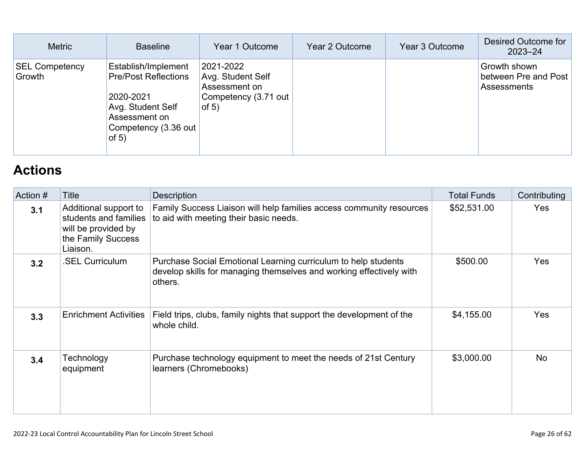| <b>Metric</b>                   | <b>Baseline</b>                                                                                                                          | Year 1 Outcome                                                                     | Year 2 Outcome | Year 3 Outcome | Desired Outcome for<br>$2023 - 24$                         |
|---------------------------------|------------------------------------------------------------------------------------------------------------------------------------------|------------------------------------------------------------------------------------|----------------|----------------|------------------------------------------------------------|
| <b>SEL Competency</b><br>Growth | Establish/Implement<br><b>Pre/Post Reflections</b><br>2020-2021<br>Avg. Student Self<br>Assessment on<br>Competency (3.36 out<br>of $5)$ | 2021-2022<br>Avg. Student Self<br>Assessment on<br>Competency (3.71 out<br>of $5)$ |                |                | Growth shown<br>between Pre and Post<br><b>Assessments</b> |

## **[Actions](http://www.doc-tracking.com/screenshots/22LCAP/Instructions/22LCAPInstructions.htm#actions)**

| Action # | Title                                                                                                   | Description                                                                                                                                      | <b>Total Funds</b> | Contributing |
|----------|---------------------------------------------------------------------------------------------------------|--------------------------------------------------------------------------------------------------------------------------------------------------|--------------------|--------------|
| 3.1      | Additional support to<br>students and families<br>will be provided by<br>the Family Success<br>Liaison. | Family Success Liaison will help families access community resources<br>to aid with meeting their basic needs.                                   | \$52,531.00        | Yes          |
| 3.2      | <b>SEL Curriculum</b>                                                                                   | Purchase Social Emotional Learning curriculum to help students<br>develop skills for managing themselves and working effectively with<br>others. | \$500.00           | Yes          |
| 3.3      | <b>Enrichment Activities</b>                                                                            | Field trips, clubs, family nights that support the development of the<br>whole child.                                                            | \$4,155.00         | Yes          |
| 3.4      | Technology<br>equipment                                                                                 | Purchase technology equipment to meet the needs of 21st Century<br>learners (Chromebooks)                                                        | \$3,000.00         | <b>No</b>    |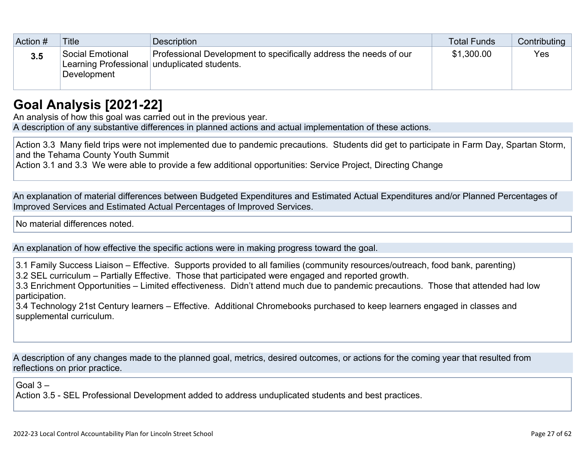| Action # | Title                           | Description                                                                                                       | Total Funds | Contributing |
|----------|---------------------------------|-------------------------------------------------------------------------------------------------------------------|-------------|--------------|
| 3.5      | Social Emotional<br>Development | Professional Development to specifically address the needs of our<br>Learning Professional unduplicated students. | \$1,300.00  | Yes          |

## **[Goal Analysis \[2021-22\]](http://www.doc-tracking.com/screenshots/22LCAP/Instructions/22LCAPInstructions.htm#GoalAnalysis)**

An analysis of how this goal was carried out in the previous year.

A description of any substantive differences in planned actions and actual implementation of these actions.

Action 3.3 Many field trips were not implemented due to pandemic precautions. Students did get to participate in Farm Day, Spartan Storm, and the Tehama County Youth Summit

Action 3.1 and 3.3 We were able to provide a few additional opportunities: Service Project, Directing Change

An explanation of material differences between Budgeted Expenditures and Estimated Actual Expenditures and/or Planned Percentages of Improved Services and Estimated Actual Percentages of Improved Services.

No material differences noted.

An explanation of how effective the specific actions were in making progress toward the goal.

3.1 Family Success Liaison – Effective. Supports provided to all families (community resources/outreach, food bank, parenting) 3.2 SEL curriculum – Partially Effective. Those that participated were engaged and reported growth.

3.3 Enrichment Opportunities – Limited effectiveness. Didn't attend much due to pandemic precautions. Those that attended had low participation.

3.4 Technology 21st Century learners – Effective. Additional Chromebooks purchased to keep learners engaged in classes and supplemental curriculum.

A description of any changes made to the planned goal, metrics, desired outcomes, or actions for the coming year that resulted from reflections on prior practice.

Goal 3 –

Action 3.5 - SEL Professional Development added to address unduplicated students and best practices.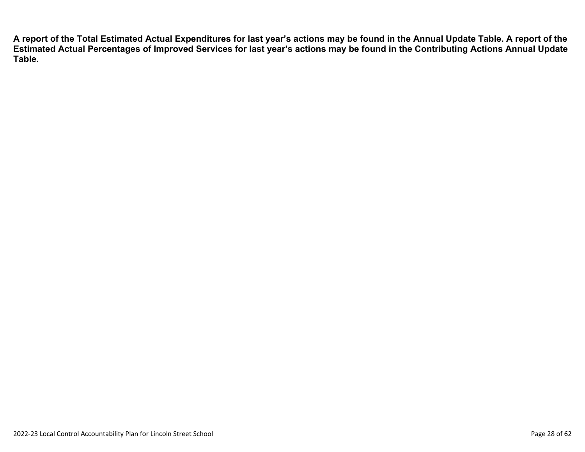**A report of the Total Estimated Actual Expenditures for last year's actions may be found in the Annual Update Table. A report of the Estimated Actual Percentages of Improved Services for last year's actions may be found in the Contributing Actions Annual Update Table.**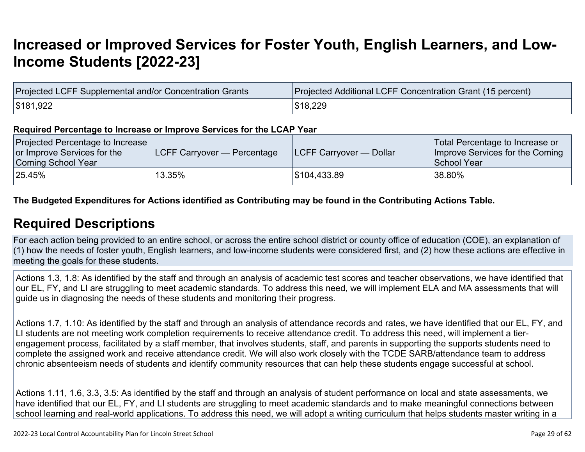## **[Increased or Improved Services for Foster Youth, English Learners, and Low-](http://www.doc-tracking.com/screenshots/22LCAP/Instructions/22LCAPInstructions.htm#IncreasedImprovedServices)[Income Students \[2022-23\]](http://www.doc-tracking.com/screenshots/22LCAP/Instructions/22LCAPInstructions.htm#IncreasedImprovedServices)**

| Projected LCFF Supplemental and/or Concentration Grants | <b>Projected Additional LCFF Concentration Grant (15 percent)</b> |
|---------------------------------------------------------|-------------------------------------------------------------------|
| \$181,922                                               | \$18,229                                                          |

#### **Required Percentage to Increase or Improve Services for the LCAP Year**

| Projected Percentage to Increase<br>or Improve Services for the<br>Coming School Year | <b>LCFF Carryover — Percentage</b> | <b>ILCFF Carryover — Dollar</b> | Total Percentage to Increase or<br>Improve Services for the Coming<br>School Year |
|---------------------------------------------------------------------------------------|------------------------------------|---------------------------------|-----------------------------------------------------------------------------------|
| 25.45%                                                                                | $^{\circ}$ 13.35% $^{\circ}$       | \$104,433.89                    | $^{\shortmid}$ 38.80%                                                             |

**The Budgeted Expenditures for Actions identified as Contributing may be found in the Contributing Actions Table.**

### **[Required Descriptions](http://www.doc-tracking.com/screenshots/22LCAP/Instructions/22LCAPInstructions.htm#RequiredDescriptions)**

For each action being provided to an entire school, or across the entire school district or county office of education (COE), an explanation of (1) how the needs of foster youth, English learners, and low-income students were considered first, and (2) how these actions are effective in meeting the goals for these students.

Actions 1.3, 1.8: As identified by the staff and through an analysis of academic test scores and teacher observations, we have identified that our EL, FY, and LI are struggling to meet academic standards. To address this need, we will implement ELA and MA assessments that will guide us in diagnosing the needs of these students and monitoring their progress.

Actions 1.7, 1.10: As identified by the staff and through an analysis of attendance records and rates, we have identified that our EL, FY, and LI students are not meeting work completion requirements to receive attendance credit. To address this need, will implement a tierengagement process, facilitated by a staff member, that involves students, staff, and parents in supporting the supports students need to complete the assigned work and receive attendance credit. We will also work closely with the TCDE SARB/attendance team to address chronic absenteeism needs of students and identify community resources that can help these students engage successful at school.

Actions 1.11, 1.6, 3.3, 3.5: As identified by the staff and through an analysis of student performance on local and state assessments, we have identified that our EL, FY, and LI students are struggling to meet academic standards and to make meaningful connections between school learning and real-world applications. To address this need, we will adopt a writing curriculum that helps students master writing in a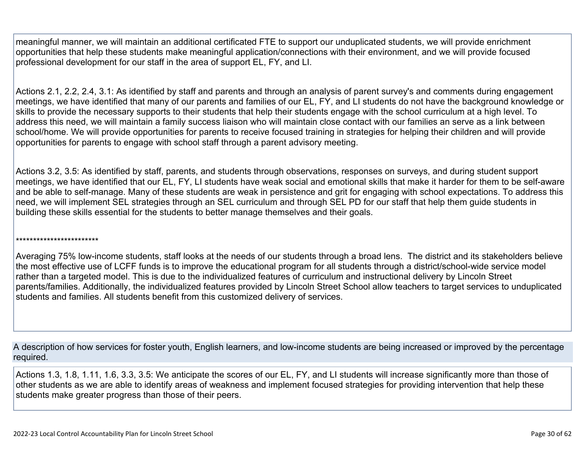meaningful manner, we will maintain an additional certificated FTE to support our unduplicated students, we will provide enrichment opportunities that help these students make meaningful application/connections with their environment, and we will provide focused professional development for our staff in the area of support EL, FY, and LI.

Actions 2.1, 2.2, 2.4, 3.1: As identified by staff and parents and through an analysis of parent survey's and comments during engagement meetings, we have identified that many of our parents and families of our EL, FY, and LI students do not have the background knowledge or skills to provide the necessary supports to their students that help their students engage with the school curriculum at a high level. To address this need, we will maintain a family success liaison who will maintain close contact with our families an serve as a link between school/home. We will provide opportunities for parents to receive focused training in strategies for helping their children and will provide opportunities for parents to engage with school staff through a parent advisory meeting.

Actions 3.2, 3.5: As identified by staff, parents, and students through observations, responses on surveys, and during student support meetings, we have identified that our EL, FY, LI students have weak social and emotional skills that make it harder for them to be self-aware and be able to self-manage. Many of these students are weak in persistence and grit for engaging with school expectations. To address this need, we will implement SEL strategies through an SEL curriculum and through SEL PD for our staff that help them guide students in building these skills essential for the students to better manage themselves and their goals.

#### \*\*\*\*\*\*\*\*\*\*\*\*\*\*\*\*\*\*\*\*\*\*\*\*

Averaging 75% low-income students, staff looks at the needs of our students through a broad lens. The district and its stakeholders believe the most effective use of LCFF funds is to improve the educational program for all students through a district/school-wide service model rather than a targeted model. This is due to the individualized features of curriculum and instructional delivery by Lincoln Street parents/families. Additionally, the individualized features provided by Lincoln Street School allow teachers to target services to unduplicated students and families. All students benefit from this customized delivery of services.

A description of how services for foster youth, English learners, and low-income students are being increased or improved by the percentage required.

Actions 1.3, 1.8, 1.11, 1.6, 3.3, 3.5: We anticipate the scores of our EL, FY, and LI students will increase significantly more than those of other students as we are able to identify areas of weakness and implement focused strategies for providing intervention that help these students make greater progress than those of their peers.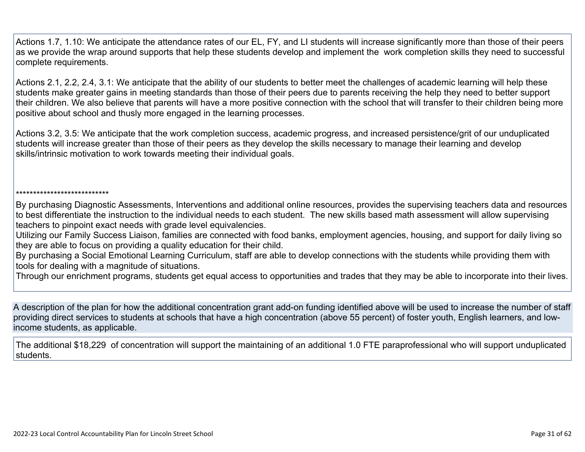Actions 1.7, 1.10: We anticipate the attendance rates of our EL, FY, and LI students will increase significantly more than those of their peers as we provide the wrap around supports that help these students develop and implement the work completion skills they need to successful complete requirements.

Actions 2.1, 2.2, 2.4, 3.1: We anticipate that the ability of our students to better meet the challenges of academic learning will help these students make greater gains in meeting standards than those of their peers due to parents receiving the help they need to better support their children. We also believe that parents will have a more positive connection with the school that will transfer to their children being more positive about school and thusly more engaged in the learning processes.

Actions 3.2, 3.5: We anticipate that the work completion success, academic progress, and increased persistence/grit of our unduplicated students will increase greater than those of their peers as they develop the skills necessary to manage their learning and develop skills/intrinsic motivation to work towards meeting their individual goals.

#### \*\*\*\*\*\*\*\*\*\*\*\*\*\*\*\*\*\*\*\*\*\*\*\*\*\*\*

By purchasing Diagnostic Assessments, Interventions and additional online resources, provides the supervising teachers data and resources to best differentiate the instruction to the individual needs to each student. The new skills based math assessment will allow supervising teachers to pinpoint exact needs with grade level equivalencies.

Utilizing our Family Success Liaison, families are connected with food banks, employment agencies, housing, and support for daily living so they are able to focus on providing a quality education for their child.

By purchasing a Social Emotional Learning Curriculum, staff are able to develop connections with the students while providing them with tools for dealing with a magnitude of situations.

Through our enrichment programs, students get equal access to opportunities and trades that they may be able to incorporate into their lives.

A description of the plan for how the additional concentration grant add-on funding identified above will be used to increase the number of staff providing direct services to students at schools that have a high concentration (above 55 percent) of foster youth, English learners, and lowincome students, as applicable.

The additional \$18,229 of concentration will support the maintaining of an additional 1.0 FTE paraprofessional who will support unduplicated students.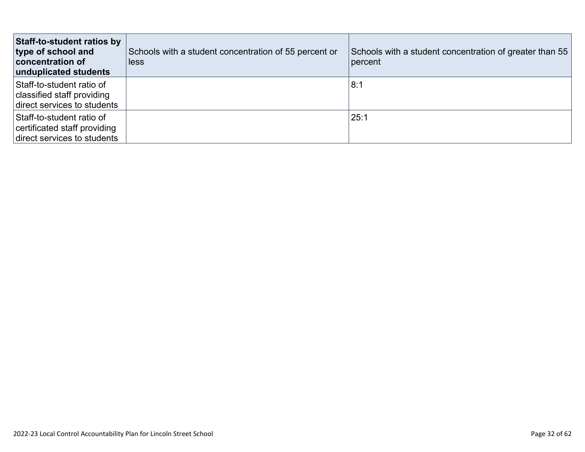| Staff-to-student ratios by<br>type of school and<br>concentration of<br>unduplicated students | Schools with a student concentration of 55 percent or<br>less | Schools with a student concentration of greater than 55<br>percent |
|-----------------------------------------------------------------------------------------------|---------------------------------------------------------------|--------------------------------------------------------------------|
| Staff-to-student ratio of<br>classified staff providing<br>direct services to students        |                                                               | 8:1                                                                |
| Staff-to-student ratio of<br>certificated staff providing<br>direct services to students      |                                                               | 25:1                                                               |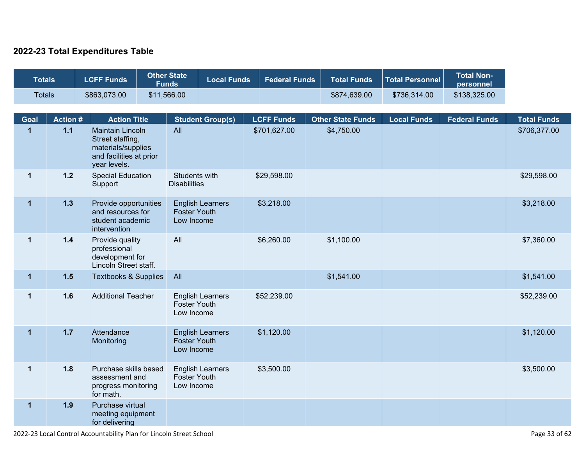### **2022-23 Total Expenditures Table**

| <b>Totals</b> |                | <b>LCFF Funds</b>                                                                                            | <b>Other State</b><br><b>Funds</b> | <b>Local Funds</b>                                           | <b>Federal Funds</b> | <b>Total Funds</b>       | <b>Total Personnel</b> | <b>Total Non-</b><br>personnel |                    |
|---------------|----------------|--------------------------------------------------------------------------------------------------------------|------------------------------------|--------------------------------------------------------------|----------------------|--------------------------|------------------------|--------------------------------|--------------------|
| <b>Totals</b> |                | \$863,073.00                                                                                                 | \$11,566.00                        |                                                              |                      | \$874,639.00             | \$736,314.00           | \$138,325.00                   |                    |
| <b>Goal</b>   | <b>Action#</b> | <b>Action Title</b>                                                                                          |                                    | <b>Student Group(s)</b>                                      | <b>LCFF Funds</b>    | <b>Other State Funds</b> | <b>Local Funds</b>     | <b>Federal Funds</b>           | <b>Total Funds</b> |
| $\mathbf{1}$  | $1.1$          | <b>Maintain Lincoln</b><br>Street staffing,<br>materials/supplies<br>and facilities at prior<br>year levels. | All                                |                                                              | \$701,627.00         | \$4,750.00               |                        |                                | \$706,377.00       |
| $\mathbf{1}$  | $1.2$          | <b>Special Education</b><br>Support                                                                          | <b>Disabilities</b>                | Students with                                                | \$29,598.00          |                          |                        |                                | \$29,598.00        |
| $\mathbf 1$   | 1.3            | Provide opportunities<br>and resources for<br>student academic<br>intervention                               |                                    | <b>English Learners</b><br><b>Foster Youth</b><br>Low Income | \$3,218.00           |                          |                        |                                | \$3,218.00         |
| $\mathbf 1$   | $1.4$          | Provide quality<br>professional<br>development for<br>Lincoln Street staff.                                  | All                                |                                                              | \$6,260.00           | \$1,100.00               |                        |                                | \$7,360.00         |
| $\mathbf 1$   | 1.5            | <b>Textbooks &amp; Supplies</b>                                                                              | All                                |                                                              |                      | \$1,541.00               |                        |                                | \$1,541.00         |
| $\mathbf 1$   | 1.6            | <b>Additional Teacher</b>                                                                                    |                                    | <b>English Learners</b><br><b>Foster Youth</b><br>Low Income | \$52,239.00          |                          |                        |                                | \$52,239.00        |
| $\mathbf 1$   | $1.7$          | Attendance<br>Monitoring                                                                                     |                                    | <b>English Learners</b><br><b>Foster Youth</b><br>Low Income | \$1,120.00           |                          |                        |                                | \$1,120.00         |
| $\mathbf 1$   | 1.8            | Purchase skills based<br>assessment and<br>progress monitoring<br>for math.                                  |                                    | <b>English Learners</b><br><b>Foster Youth</b><br>Low Income | \$3,500.00           |                          |                        |                                | \$3,500.00         |
| $\mathbf{1}$  | 1.9            | Purchase virtual<br>meeting equipment<br>for delivering                                                      |                                    |                                                              |                      |                          |                        |                                |                    |

2022-23 Local Control Accountability Plan for Lincoln Street School Page 33 of 62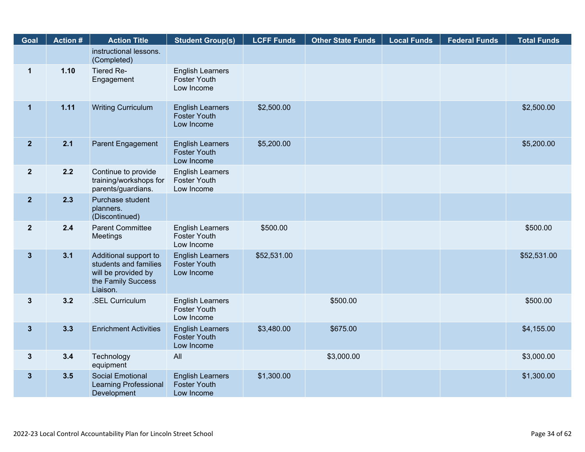| Goal           | <b>Action #</b> | <b>Action Title</b>                                                                                     | <b>Student Group(s)</b>                                      | <b>LCFF Funds</b> | <b>Other State Funds</b> | <b>Local Funds</b> | <b>Federal Funds</b> | <b>Total Funds</b> |
|----------------|-----------------|---------------------------------------------------------------------------------------------------------|--------------------------------------------------------------|-------------------|--------------------------|--------------------|----------------------|--------------------|
|                |                 | instructional lessons.<br>(Completed)                                                                   |                                                              |                   |                          |                    |                      |                    |
| $\mathbf 1$    | 1.10            | Tiered Re-<br>Engagement                                                                                | <b>English Learners</b><br><b>Foster Youth</b><br>Low Income |                   |                          |                    |                      |                    |
| $\mathbf 1$    | 1.11            | <b>Writing Curriculum</b>                                                                               | <b>English Learners</b><br><b>Foster Youth</b><br>Low Income | \$2,500.00        |                          |                    |                      | \$2,500.00         |
| 2 <sup>1</sup> | 2.1             | Parent Engagement                                                                                       | <b>English Learners</b><br><b>Foster Youth</b><br>Low Income | \$5,200.00        |                          |                    |                      | \$5,200.00         |
| $\overline{2}$ | 2.2             | Continue to provide<br>training/workshops for<br>parents/guardians.                                     | <b>English Learners</b><br><b>Foster Youth</b><br>Low Income |                   |                          |                    |                      |                    |
| $\overline{2}$ | 2.3             | Purchase student<br>planners.<br>(Discontinued)                                                         |                                                              |                   |                          |                    |                      |                    |
| $\overline{2}$ | 2.4             | <b>Parent Committee</b><br><b>Meetings</b>                                                              | <b>English Learners</b><br><b>Foster Youth</b><br>Low Income | \$500.00          |                          |                    |                      | \$500.00           |
| $3\phantom{a}$ | 3.1             | Additional support to<br>students and families<br>will be provided by<br>the Family Success<br>Liaison. | <b>English Learners</b><br><b>Foster Youth</b><br>Low Income | \$52,531.00       |                          |                    |                      | \$52,531.00        |
| $\mathbf{3}$   | 3.2             | .SEL Curriculum                                                                                         | <b>English Learners</b><br><b>Foster Youth</b><br>Low Income |                   | \$500.00                 |                    |                      | \$500.00           |
| $3\phantom{a}$ | 3.3             | <b>Enrichment Activities</b>                                                                            | <b>English Learners</b><br><b>Foster Youth</b><br>Low Income | \$3,480.00        | \$675.00                 |                    |                      | \$4,155.00         |
| $3\phantom{a}$ | 3.4             | Technology<br>equipment                                                                                 | All                                                          |                   | \$3,000.00               |                    |                      | \$3,000.00         |
| $3\phantom{a}$ | 3.5             | <b>Social Emotional</b><br><b>Learning Professional</b><br>Development                                  | <b>English Learners</b><br><b>Foster Youth</b><br>Low Income | \$1,300.00        |                          |                    |                      | \$1,300.00         |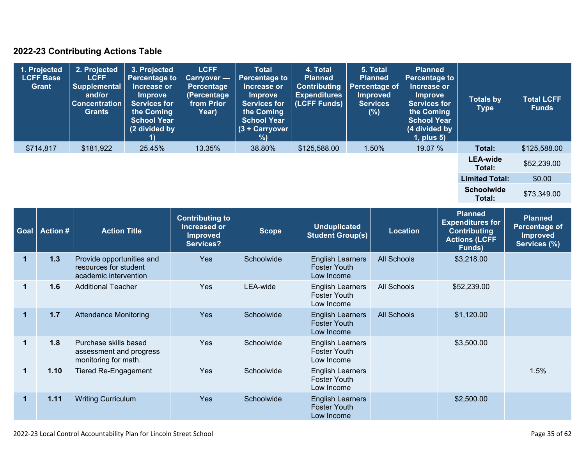### **2022-23 Contributing Actions Table**

| 1. Projected<br><b>LCFF Base</b><br><b>Grant</b> | 2. Projected<br><b>LCFF</b><br><b>Supplemental</b><br>and/or<br><b>Concentration</b><br>Grants | 3. Projected<br><b>Percentage to</b><br>Increase or<br><b>Improve</b><br><b>Services for</b><br>the Coming<br><b>School Year</b><br>(2 divided by | <b>LCFF</b><br><b>Carryover —</b><br>Percentage<br>(Percentage<br>from Prior<br>Year) | <b>Total</b><br><b>Percentage to</b><br>Increase or<br><b>Improve</b><br><b>Services for</b><br>the Coming<br><b>School Year</b><br>(3 + Carryover<br>%) | 4. Total<br><b>Planned</b><br><b>Contributing</b><br><b>Expenditures</b><br>(LCFF Funds) | 5. Total<br><b>Planned</b><br><b>Percentage of</b><br><b>Improved</b><br><b>Services</b><br>(%) | <b>Planned</b><br><b>Percentage to</b><br>Increase or<br>Improve<br><b>Services for</b><br>the Coming<br><b>School Year</b><br>(4 divided by<br>$1$ , plus $5$ ) | <b>Totals by</b><br>Type    | <b>Total LCFF</b><br><b>Funds</b> |
|--------------------------------------------------|------------------------------------------------------------------------------------------------|---------------------------------------------------------------------------------------------------------------------------------------------------|---------------------------------------------------------------------------------------|----------------------------------------------------------------------------------------------------------------------------------------------------------|------------------------------------------------------------------------------------------|-------------------------------------------------------------------------------------------------|------------------------------------------------------------------------------------------------------------------------------------------------------------------|-----------------------------|-----------------------------------|
| \$714,817                                        | \$181,922                                                                                      | 25.45%                                                                                                                                            | 13.35%                                                                                | 38.80%                                                                                                                                                   | \$125,588.00                                                                             | 1.50%                                                                                           | 19.07 %                                                                                                                                                          | Total:                      | \$125,588.00                      |
|                                                  |                                                                                                |                                                                                                                                                   |                                                                                       |                                                                                                                                                          |                                                                                          |                                                                                                 |                                                                                                                                                                  | <b>LEA-wide</b><br>Total:   | \$52,239.00                       |
|                                                  |                                                                                                |                                                                                                                                                   |                                                                                       |                                                                                                                                                          |                                                                                          |                                                                                                 |                                                                                                                                                                  | <b>Limited Total:</b>       | \$0.00                            |
|                                                  |                                                                                                |                                                                                                                                                   |                                                                                       |                                                                                                                                                          |                                                                                          |                                                                                                 |                                                                                                                                                                  | <b>Schoolwide</b><br>Total: | \$73,349.00                       |

| Goal | <b>Action #</b> | <b>Action Title</b>                                                         | <b>Contributing to</b><br>Increased or<br><b>Improved</b><br>Services? | <b>Scope</b> | <b>Unduplicated</b><br><b>Student Group(s)</b>               | <b>Location</b>    | <b>Planned</b><br><b>Expenditures for</b><br><b>Contributing</b><br><b>Actions (LCFF</b><br>Funds) | <b>Planned</b><br><b>Percentage of</b><br><b>Improved</b><br>Services (%) |
|------|-----------------|-----------------------------------------------------------------------------|------------------------------------------------------------------------|--------------|--------------------------------------------------------------|--------------------|----------------------------------------------------------------------------------------------------|---------------------------------------------------------------------------|
| 1    | 1.3             | Provide opportunities and<br>resources for student<br>academic intervention | <b>Yes</b>                                                             | Schoolwide   | <b>English Learners</b><br><b>Foster Youth</b><br>Low Income | <b>All Schools</b> | \$3,218.00                                                                                         |                                                                           |
| 1    | 1.6             | <b>Additional Teacher</b>                                                   | Yes                                                                    | LEA-wide     | <b>English Learners</b><br><b>Foster Youth</b><br>Low Income | <b>All Schools</b> | \$52,239.00                                                                                        |                                                                           |
| 1    | 1.7             | <b>Attendance Monitoring</b>                                                | <b>Yes</b>                                                             | Schoolwide   | <b>English Learners</b><br><b>Foster Youth</b><br>Low Income | <b>All Schools</b> | \$1,120.00                                                                                         |                                                                           |
|      | 1.8             | Purchase skills based<br>assessment and progress<br>monitoring for math.    | <b>Yes</b>                                                             | Schoolwide   | <b>English Learners</b><br><b>Foster Youth</b><br>Low Income |                    | \$3,500.00                                                                                         |                                                                           |
| 1    | 1.10            | <b>Tiered Re-Engagement</b>                                                 | <b>Yes</b>                                                             | Schoolwide   | <b>English Learners</b><br><b>Foster Youth</b><br>Low Income |                    |                                                                                                    | 1.5%                                                                      |
| 1    | 1.11            | <b>Writing Curriculum</b>                                                   | <b>Yes</b>                                                             | Schoolwide   | <b>English Learners</b><br><b>Foster Youth</b><br>Low Income |                    | \$2,500.00                                                                                         |                                                                           |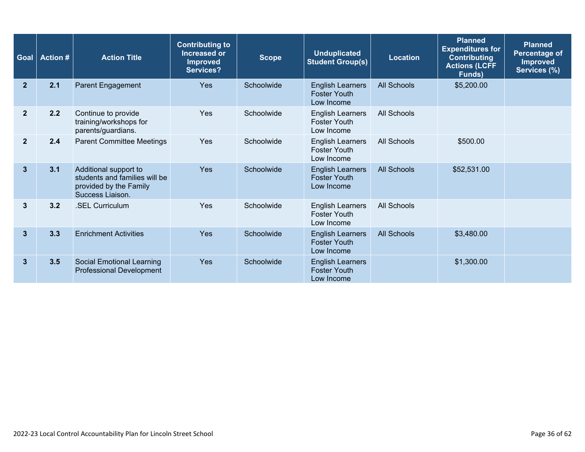| Goal             | <b>Action #</b> | <b>Action Title</b>                                                                                  | <b>Contributing to</b><br>Increased or<br><b>Improved</b><br><b>Services?</b> | <b>Scope</b> | <b>Unduplicated</b><br><b>Student Group(s)</b>               | <b>Location</b>    | <b>Planned</b><br><b>Expenditures for</b><br><b>Contributing</b><br><b>Actions (LCFF</b><br><b>Funds</b> ) | <b>Planned</b><br>Percentage of<br><b>Improved</b><br>Services (%) |
|------------------|-----------------|------------------------------------------------------------------------------------------------------|-------------------------------------------------------------------------------|--------------|--------------------------------------------------------------|--------------------|------------------------------------------------------------------------------------------------------------|--------------------------------------------------------------------|
| $\mathbf{2}$     | 2.1             | Parent Engagement                                                                                    | Yes                                                                           | Schoolwide   | <b>English Learners</b><br><b>Foster Youth</b><br>Low Income | <b>All Schools</b> | \$5,200.00                                                                                                 |                                                                    |
| $\boldsymbol{2}$ | 2.2             | Continue to provide<br>training/workshops for<br>parents/guardians.                                  | Yes                                                                           | Schoolwide   | <b>English Learners</b><br><b>Foster Youth</b><br>Low Income | All Schools        |                                                                                                            |                                                                    |
| $\overline{2}$   | 2.4             | <b>Parent Committee Meetings</b>                                                                     | Yes                                                                           | Schoolwide   | <b>English Learners</b><br><b>Foster Youth</b><br>Low Income | <b>All Schools</b> | \$500.00                                                                                                   |                                                                    |
| 3                | 3.1             | Additional support to<br>students and families will be<br>provided by the Family<br>Success Liaison. | Yes                                                                           | Schoolwide   | <b>English Learners</b><br><b>Foster Youth</b><br>Low Income | <b>All Schools</b> | \$52,531.00                                                                                                |                                                                    |
| 3                | 3.2             | .SEL Curriculum                                                                                      | Yes                                                                           | Schoolwide   | <b>English Learners</b><br><b>Foster Youth</b><br>Low Income | All Schools        |                                                                                                            |                                                                    |
| 3                | 3.3             | <b>Enrichment Activities</b>                                                                         | <b>Yes</b>                                                                    | Schoolwide   | <b>English Learners</b><br><b>Foster Youth</b><br>Low Income | <b>All Schools</b> | \$3,480.00                                                                                                 |                                                                    |
| $\mathbf{3}$     | 3.5             | <b>Social Emotional Learning</b><br><b>Professional Development</b>                                  | Yes                                                                           | Schoolwide   | <b>English Learners</b><br><b>Foster Youth</b><br>Low Income |                    | \$1,300.00                                                                                                 |                                                                    |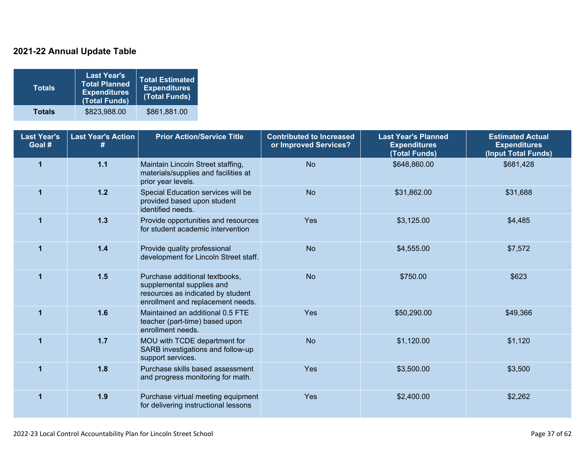### **2021-22 Annual Update Table**

| <b>Totals</b> | <b>Last Year's</b><br><b>Total Planned</b><br><b>Expenditures</b><br>(Total Funds) | <b>Total Estimated</b><br><b>Expenditures</b><br>(Total Funds) |
|---------------|------------------------------------------------------------------------------------|----------------------------------------------------------------|
| <b>Totals</b> | \$823,988.00                                                                       | \$861,881.00                                                   |

| <b>Last Year's</b><br>Goal # | <b>Last Year's Action</b> | <b>Prior Action/Service Title</b>                                                                                                     | <b>Contributed to Increased</b><br>or Improved Services? | <b>Last Year's Planned</b><br><b>Expenditures</b><br>(Total Funds) | <b>Estimated Actual</b><br><b>Expenditures</b><br>(Input Total Funds) |
|------------------------------|---------------------------|---------------------------------------------------------------------------------------------------------------------------------------|----------------------------------------------------------|--------------------------------------------------------------------|-----------------------------------------------------------------------|
| 1                            | $1.1$                     | Maintain Lincoln Street staffing,<br>materials/supplies and facilities at<br>prior year levels.                                       | <b>No</b>                                                | \$648,860.00                                                       | \$681,428                                                             |
|                              | $1.2$                     | Special Education services will be<br>provided based upon student<br>identified needs.                                                | <b>No</b>                                                | \$31,862.00                                                        | \$31,688                                                              |
|                              | 1.3                       | Provide opportunities and resources<br>for student academic intervention                                                              | Yes                                                      | \$3,125.00                                                         | \$4,485                                                               |
| $\blacktriangleleft$         | 1.4                       | Provide quality professional<br>development for Lincoln Street staff.                                                                 | <b>No</b>                                                | \$4,555.00                                                         | \$7,572                                                               |
| 1                            | 1.5                       | Purchase additional textbooks,<br>supplemental supplies and<br>resources as indicated by student<br>enrollment and replacement needs. | <b>No</b>                                                | \$750.00                                                           | \$623                                                                 |
|                              | 1.6                       | Maintained an additional 0.5 FTE<br>teacher (part-time) based upon<br>enrollment needs.                                               | Yes                                                      | \$50,290.00                                                        | \$49,366                                                              |
|                              | 1.7                       | MOU with TCDE department for<br>SARB investigations and follow-up<br>support services.                                                | <b>No</b>                                                | \$1,120.00                                                         | \$1,120                                                               |
|                              | 1.8                       | Purchase skills based assessment<br>and progress monitoring for math.                                                                 | <b>Yes</b>                                               | \$3,500.00                                                         | \$3,500                                                               |
| 1                            | 1.9                       | Purchase virtual meeting equipment<br>for delivering instructional lessons                                                            | Yes                                                      | \$2,400.00                                                         | \$2,262                                                               |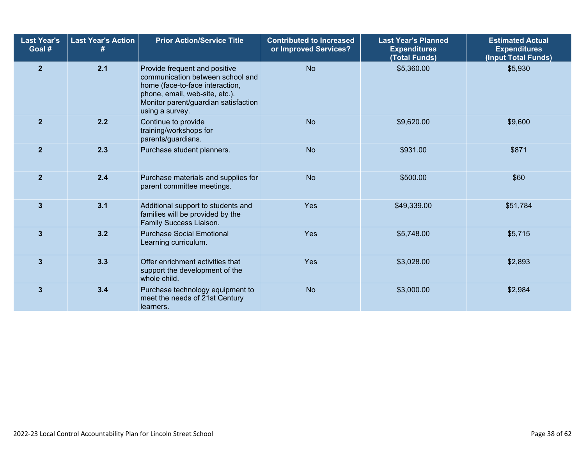| <b>Last Year's</b><br>Goal # | <b>Last Year's Action</b><br># | <b>Prior Action/Service Title</b>                                                                                                                                                                 | <b>Contributed to Increased</b><br>or Improved Services? | <b>Last Year's Planned</b><br><b>Expenditures</b><br>(Total Funds) | <b>Estimated Actual</b><br><b>Expenditures</b><br>(Input Total Funds) |
|------------------------------|--------------------------------|---------------------------------------------------------------------------------------------------------------------------------------------------------------------------------------------------|----------------------------------------------------------|--------------------------------------------------------------------|-----------------------------------------------------------------------|
| 2 <sup>2</sup>               | 2.1                            | Provide frequent and positive<br>communication between school and<br>home (face-to-face interaction,<br>phone, email, web-site, etc.).<br>Monitor parent/guardian satisfaction<br>using a survey. | <b>No</b>                                                | \$5,360.00                                                         | \$5,930                                                               |
| 2 <sup>2</sup>               | 2.2                            | Continue to provide<br>training/workshops for<br>parents/guardians.                                                                                                                               | <b>No</b>                                                | \$9,620.00                                                         | \$9,600                                                               |
| $\overline{2}$               | 2.3                            | Purchase student planners.                                                                                                                                                                        | <b>No</b>                                                | \$931.00                                                           | \$871                                                                 |
| 2 <sup>2</sup>               | 2.4                            | Purchase materials and supplies for<br>parent committee meetings.                                                                                                                                 | <b>No</b>                                                | \$500.00                                                           | \$60                                                                  |
| $\overline{3}$               | 3.1                            | Additional support to students and<br>families will be provided by the<br>Family Success Liaison.                                                                                                 | Yes                                                      | \$49,339.00                                                        | \$51,784                                                              |
| $\mathbf{3}$                 | 3.2                            | <b>Purchase Social Emotional</b><br>Learning curriculum.                                                                                                                                          | Yes                                                      | \$5,748.00                                                         | \$5,715                                                               |
| $\mathbf{3}$                 | 3.3                            | Offer enrichment activities that<br>support the development of the<br>whole child.                                                                                                                | Yes                                                      | \$3,028.00                                                         | \$2,893                                                               |
| $\mathbf{3}$                 | 3.4                            | Purchase technology equipment to<br>meet the needs of 21st Century<br>learners.                                                                                                                   | <b>No</b>                                                | \$3,000.00                                                         | \$2,984                                                               |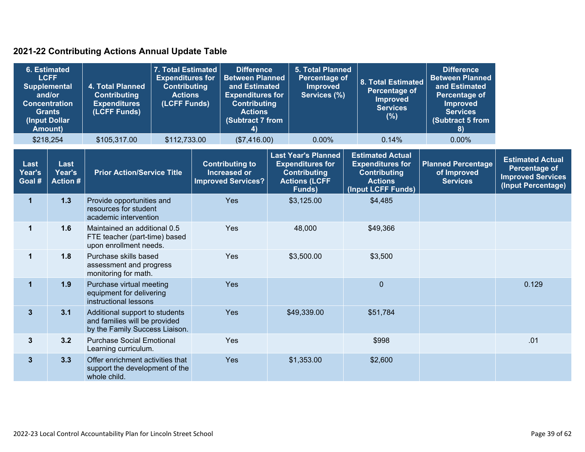### **2021-22 Contributing Actions Annual Update Table**

|                          | <b>6. Estimated</b><br><b>LCFF</b><br><b>Supplemental</b><br>and/or<br><b>Concentration</b><br><b>Grants</b><br>(Input Dollar<br><b>Amount)</b> | 4. Total Planned<br><b>Contributing</b><br><b>Expenditures</b><br>(LCFF Funds)                    | 7. Total Estimated<br><b>Expenditures for</b><br><b>Contributing</b><br><b>Actions</b><br>(LCFF Funds) | <b>Difference</b><br><b>Between Planned</b><br>and Estimated<br><b>Expenditures for</b><br><b>Contributing</b><br><b>Actions</b><br>(Subtract 7 from<br>4) | <b>5. Total Planned</b><br><b>Percentage of</b><br><b>Improved</b><br>Services (%)                             | 8. Total Estimated<br><b>Percentage of</b><br><b>Improved</b><br><b>Services</b><br>(%)                           | <b>Difference</b><br><b>Between Planned</b><br>and Estimated<br>Percentage of<br><b>Improved</b><br><b>Services</b><br>(Subtract 5 from<br>8) |                                                                                            |
|--------------------------|-------------------------------------------------------------------------------------------------------------------------------------------------|---------------------------------------------------------------------------------------------------|--------------------------------------------------------------------------------------------------------|------------------------------------------------------------------------------------------------------------------------------------------------------------|----------------------------------------------------------------------------------------------------------------|-------------------------------------------------------------------------------------------------------------------|-----------------------------------------------------------------------------------------------------------------------------------------------|--------------------------------------------------------------------------------------------|
|                          | \$218,254                                                                                                                                       | \$105,317.00                                                                                      | \$112,733.00                                                                                           | (\$7,416.00)                                                                                                                                               | 0.00%                                                                                                          | 0.14%                                                                                                             | 0.00%                                                                                                                                         |                                                                                            |
| Last<br>Year's<br>Goal # | Last<br>Year's<br><b>Action #</b>                                                                                                               | <b>Prior Action/Service Title</b>                                                                 |                                                                                                        | <b>Contributing to</b><br><b>Increased or</b><br><b>Improved Services?</b>                                                                                 | <b>Last Year's Planned</b><br><b>Expenditures for</b><br><b>Contributing</b><br><b>Actions (LCFF</b><br>Funds) | <b>Estimated Actual</b><br><b>Expenditures for</b><br><b>Contributing</b><br><b>Actions</b><br>(Input LCFF Funds) | <b>Planned Percentage</b><br>of Improved<br><b>Services</b>                                                                                   | <b>Estimated Actual</b><br>Percentage of<br><b>Improved Services</b><br>(Input Percentage) |
| 1                        | 1.3                                                                                                                                             | Provide opportunities and<br>resources for student<br>academic intervention                       |                                                                                                        | Yes                                                                                                                                                        | \$3,125.00                                                                                                     | \$4,485                                                                                                           |                                                                                                                                               |                                                                                            |
| $\mathbf{1}$             | 1.6                                                                                                                                             | Maintained an additional 0.5<br>FTE teacher (part-time) based<br>upon enrollment needs.           |                                                                                                        | Yes                                                                                                                                                        | 48,000                                                                                                         | \$49,366                                                                                                          |                                                                                                                                               |                                                                                            |
| $\mathbf 1$              | 1.8                                                                                                                                             | Purchase skills based<br>assessment and progress<br>monitoring for math.                          |                                                                                                        | Yes                                                                                                                                                        | \$3,500.00                                                                                                     | \$3,500                                                                                                           |                                                                                                                                               |                                                                                            |
| $\mathbf{1}$             | 1.9                                                                                                                                             | Purchase virtual meeting<br>equipment for delivering<br>instructional lessons                     |                                                                                                        | Yes                                                                                                                                                        |                                                                                                                | $\mathbf 0$                                                                                                       |                                                                                                                                               | 0.129                                                                                      |
| 3 <sup>2</sup>           | 3.1                                                                                                                                             | Additional support to students<br>and families will be provided<br>by the Family Success Liaison. |                                                                                                        | Yes                                                                                                                                                        | \$49,339.00                                                                                                    | \$51,784                                                                                                          |                                                                                                                                               |                                                                                            |
| $3\phantom{a}$           | 3.2                                                                                                                                             | <b>Purchase Social Emotional</b><br>Learning curriculum.                                          |                                                                                                        | Yes                                                                                                                                                        |                                                                                                                | \$998                                                                                                             |                                                                                                                                               | .01                                                                                        |
| 3 <sup>2</sup>           | 3.3                                                                                                                                             | Offer enrichment activities that<br>support the development of the<br>whole child.                |                                                                                                        | Yes                                                                                                                                                        | \$1,353.00                                                                                                     | \$2,600                                                                                                           |                                                                                                                                               |                                                                                            |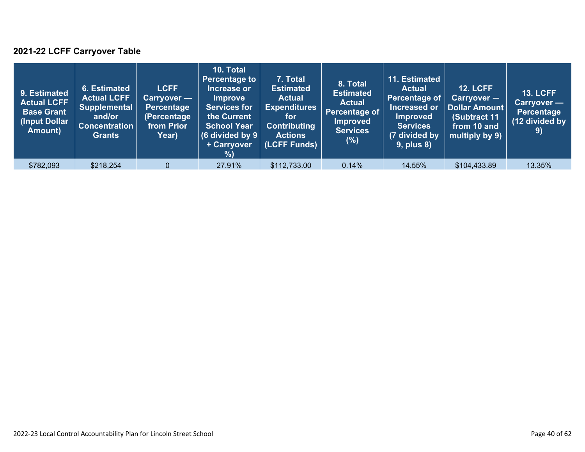### **2021-22 LCFF Carryover Table**

| 9. Estimated<br><b>Actual LCFF</b><br><b>Base Grant</b><br>(Input Dollar)<br>Amount) | 6. Estimated<br><b>Actual LCFF</b><br><b>Supplemental</b><br>and/or<br><b>Concentration</b><br><b>Grants</b> | <b>LCFF</b><br>Carryover —<br>Percentage<br>(Percentage<br>from Prior<br>Year) | 10. Total<br><b>Percentage to</b><br>Increase or<br><b>Improve</b><br><b>Services for</b><br>the Current<br><b>School Year</b><br>$(6$ divided by $9$<br>+ Carryover<br>% | 7. Total<br><b>Estimated</b><br><b>Actual</b><br><b>Expenditures</b><br>for<br><b>Contributing</b><br><b>Actions</b><br>(LCFF Funds) | 8. Total<br><b>Estimated</b><br><b>Actual</b><br>Percentage of $\overline{\phantom{a}}$<br><b>Improved</b><br><b>Services</b><br>(%) | 11. Estimated<br><b>Actual</b><br><b>Percentage of</b><br>Increased or<br><b>Improved</b><br><b>Services</b><br>(7 divided by<br><b>9, plus 8)</b> | <b>12. LCFF</b><br>$Carryover -$<br><b>Dollar Amount</b><br>(Subtract 11<br>from 10 and<br>multiply by 9) | <b>13. LCFF</b><br>Carryover —<br><b>Percentage</b><br>(12 divided by<br>$\left( 9\right)$ |
|--------------------------------------------------------------------------------------|--------------------------------------------------------------------------------------------------------------|--------------------------------------------------------------------------------|---------------------------------------------------------------------------------------------------------------------------------------------------------------------------|--------------------------------------------------------------------------------------------------------------------------------------|--------------------------------------------------------------------------------------------------------------------------------------|----------------------------------------------------------------------------------------------------------------------------------------------------|-----------------------------------------------------------------------------------------------------------|--------------------------------------------------------------------------------------------|
| \$782,093                                                                            | \$218,254                                                                                                    | $\Omega$                                                                       | 27.91%                                                                                                                                                                    | \$112,733.00                                                                                                                         | 0.14%                                                                                                                                | 14.55%                                                                                                                                             | \$104,433.89                                                                                              | 13.35%                                                                                     |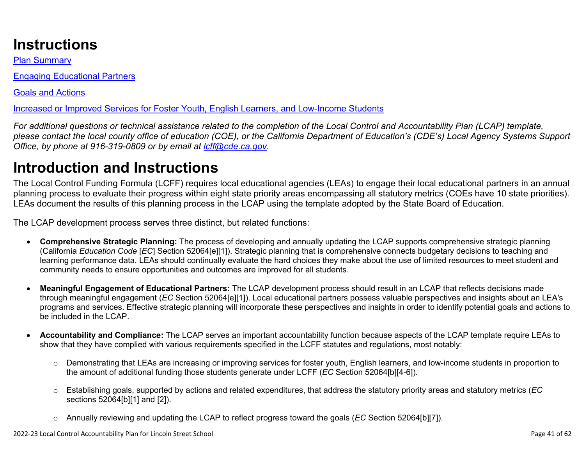## **Instructions**

Plan Summary

Engaging Educational Partners

Goals and Actions

Increased or Improved Services for Foster Youth, English Learners, and Low-Income Students

*For additional questions or technical assistance related to the completion of the Local Control and Accountability Plan (LCAP) template, please contact the local county office of education (COE), or the California Department of Education's (CDE's) Local Agency Systems Support Office, by phone at 916-319-0809 or by email at [lcff@cde.ca.gov](mailto:lcff@cde.ca.gov).*

# **Introduction and Instructions**

The Local Control Funding Formula (LCFF) requires local educational agencies (LEAs) to engage their local educational partners in an annual planning process to evaluate their progress within eight state priority areas encompassing all statutory metrics (COEs have 10 state priorities). LEAs document the results of this planning process in the LCAP using the template adopted by the State Board of Education.

The LCAP development process serves three distinct, but related functions:

- **Comprehensive Strategic Planning:** The process of developing and annually updating the LCAP supports comprehensive strategic planning (California *Education Code* [*EC*] Section 52064[e][1]). Strategic planning that is comprehensive connects budgetary decisions to teaching and learning performance data. LEAs should continually evaluate the hard choices they make about the use of limited resources to meet student and community needs to ensure opportunities and outcomes are improved for all students.
- **Meaningful Engagement of Educational Partners:** The LCAP development process should result in an LCAP that reflects decisions made through meaningful engagement (*EC* Section 52064[e][1]). Local educational partners possess valuable perspectives and insights about an LEA's programs and services. Effective strategic planning will incorporate these perspectives and insights in order to identify potential goals and actions to be included in the LCAP.
- **Accountability and Compliance:** The LCAP serves an important accountability function because aspects of the LCAP template require LEAs to show that they have complied with various requirements specified in the LCFF statutes and regulations, most notably:
	- o Demonstrating that LEAs are increasing or improving services for foster youth, English learners, and low-income students in proportion to the amount of additional funding those students generate under LCFF (*EC* Section 52064[b][4-6]).
	- o Establishing goals, supported by actions and related expenditures, that address the statutory priority areas and statutory metrics (*EC* sections 52064[b][1] and [2]).
	- o Annually reviewing and updating the LCAP to reflect progress toward the goals (*EC* Section 52064[b][7]).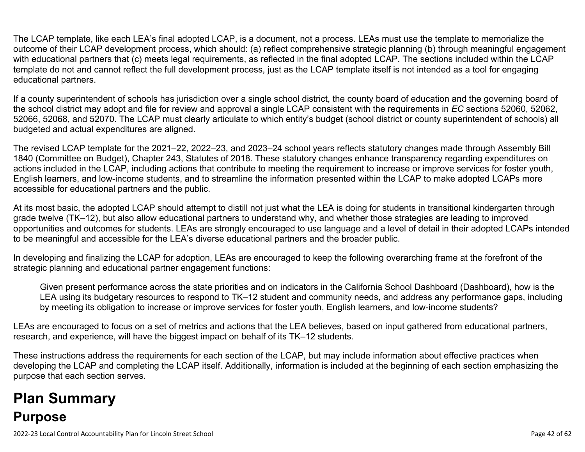The LCAP template, like each LEA's final adopted LCAP, is a document, not a process. LEAs must use the template to memorialize the outcome of their LCAP development process, which should: (a) reflect comprehensive strategic planning (b) through meaningful engagement with educational partners that (c) meets legal requirements, as reflected in the final adopted LCAP. The sections included within the LCAP template do not and cannot reflect the full development process, just as the LCAP template itself is not intended as a tool for engaging educational partners.

If a county superintendent of schools has jurisdiction over a single school district, the county board of education and the governing board of the school district may adopt and file for review and approval a single LCAP consistent with the requirements in *EC* sections 52060, 52062, 52066, 52068, and 52070. The LCAP must clearly articulate to which entity's budget (school district or county superintendent of schools) all budgeted and actual expenditures are aligned.

The revised LCAP template for the 2021–22, 2022–23, and 2023–24 school years reflects statutory changes made through Assembly Bill 1840 (Committee on Budget), Chapter 243, Statutes of 2018. These statutory changes enhance transparency regarding expenditures on actions included in the LCAP, including actions that contribute to meeting the requirement to increase or improve services for foster youth, English learners, and low-income students, and to streamline the information presented within the LCAP to make adopted LCAPs more accessible for educational partners and the public.

At its most basic, the adopted LCAP should attempt to distill not just what the LEA is doing for students in transitional kindergarten through grade twelve (TK–12), but also allow educational partners to understand why, and whether those strategies are leading to improved opportunities and outcomes for students. LEAs are strongly encouraged to use language and a level of detail in their adopted LCAPs intended to be meaningful and accessible for the LEA's diverse educational partners and the broader public.

In developing and finalizing the LCAP for adoption, LEAs are encouraged to keep the following overarching frame at the forefront of the strategic planning and educational partner engagement functions:

Given present performance across the state priorities and on indicators in the California School Dashboard (Dashboard), how is the LEA using its budgetary resources to respond to TK–12 student and community needs, and address any performance gaps, including by meeting its obligation to increase or improve services for foster youth, English learners, and low-income students?

LEAs are encouraged to focus on a set of metrics and actions that the LEA believes, based on input gathered from educational partners, research, and experience, will have the biggest impact on behalf of its TK–12 students.

These instructions address the requirements for each section of the LCAP, but may include information about effective practices when developing the LCAP and completing the LCAP itself. Additionally, information is included at the beginning of each section emphasizing the purpose that each section serves.

# **Plan Summary Purpose**

2022-23 Local Control Accountability Plan for Lincoln Street School Page 42 of 62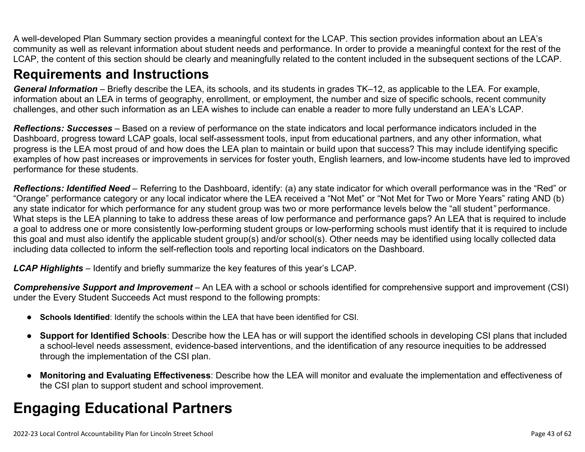A well-developed Plan Summary section provides a meaningful context for the LCAP. This section provides information about an LEA's community as well as relevant information about student needs and performance. In order to provide a meaningful context for the rest of the LCAP, the content of this section should be clearly and meaningfully related to the content included in the subsequent sections of the LCAP.

### **Requirements and Instructions**

*General Information* – Briefly describe the LEA, its schools, and its students in grades TK–12, as applicable to the LEA. For example, information about an LEA in terms of geography, enrollment, or employment, the number and size of specific schools, recent community challenges, and other such information as an LEA wishes to include can enable a reader to more fully understand an LEA's LCAP.

*Reflections: Successes* – Based on a review of performance on the state indicators and local performance indicators included in the Dashboard, progress toward LCAP goals, local self-assessment tools, input from educational partners, and any other information, what progress is the LEA most proud of and how does the LEA plan to maintain or build upon that success? This may include identifying specific examples of how past increases or improvements in services for foster youth, English learners, and low-income students have led to improved performance for these students.

*Reflections: Identified Need* – Referring to the Dashboard, identify: (a) any state indicator for which overall performance was in the "Red" or "Orange" performance category or any local indicator where the LEA received a "Not Met" or "Not Met for Two or More Years" rating AND (b) any state indicator for which performance for any student group was two or more performance levels below the "all student*"* performance. What steps is the LEA planning to take to address these areas of low performance and performance gaps? An LEA that is required to include a goal to address one or more consistently low-performing student groups or low-performing schools must identify that it is required to include this goal and must also identify the applicable student group(s) and/or school(s). Other needs may be identified using locally collected data including data collected to inform the self-reflection tools and reporting local indicators on the Dashboard.

*LCAP Highlights* – Identify and briefly summarize the key features of this year's LCAP.

*Comprehensive Support and Improvement* – An LEA with a school or schools identified for comprehensive support and improvement (CSI) under the Every Student Succeeds Act must respond to the following prompts:

- **Schools Identified**: Identify the schools within the LEA that have been identified for CSI.
- **Support for Identified Schools**: Describe how the LEA has or will support the identified schools in developing CSI plans that included a school-level needs assessment, evidence-based interventions, and the identification of any resource inequities to be addressed through the implementation of the CSI plan.
- **Monitoring and Evaluating Effectiveness**: Describe how the LEA will monitor and evaluate the implementation and effectiveness of the CSI plan to support student and school improvement.

# **Engaging Educational Partners**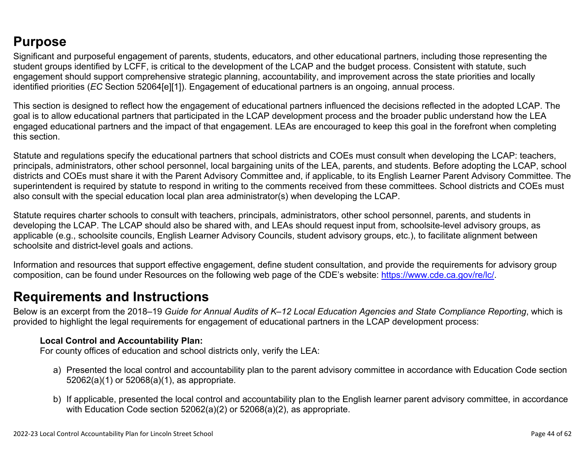## **Purpose**

Significant and purposeful engagement of parents, students, educators, and other educational partners, including those representing the student groups identified by LCFF, is critical to the development of the LCAP and the budget process. Consistent with statute, such engagement should support comprehensive strategic planning, accountability, and improvement across the state priorities and locally identified priorities (*EC* Section 52064[e][1]). Engagement of educational partners is an ongoing, annual process.

This section is designed to reflect how the engagement of educational partners influenced the decisions reflected in the adopted LCAP. The goal is to allow educational partners that participated in the LCAP development process and the broader public understand how the LEA engaged educational partners and the impact of that engagement. LEAs are encouraged to keep this goal in the forefront when completing this section.

Statute and regulations specify the educational partners that school districts and COEs must consult when developing the LCAP: teachers, principals, administrators, other school personnel, local bargaining units of the LEA, parents, and students. Before adopting the LCAP, school districts and COEs must share it with the Parent Advisory Committee and, if applicable, to its English Learner Parent Advisory Committee. The superintendent is required by statute to respond in writing to the comments received from these committees. School districts and COEs must also consult with the special education local plan area administrator(s) when developing the LCAP.

Statute requires charter schools to consult with teachers, principals, administrators, other school personnel, parents, and students in developing the LCAP. The LCAP should also be shared with, and LEAs should request input from, schoolsite-level advisory groups, as applicable (e.g., schoolsite councils, English Learner Advisory Councils, student advisory groups, etc.), to facilitate alignment between schoolsite and district-level goals and actions.

Information and resources that support effective engagement, define student consultation, and provide the requirements for advisory group composition, can be found under Resources on the following web page of the CDE's website: <https://www.cde.ca.gov/re/lc/>.

### **Requirements and Instructions**

Below is an excerpt from the 2018–19 *Guide for Annual Audits of K–12 Local Education Agencies and State Compliance Reporting*, which is provided to highlight the legal requirements for engagement of educational partners in the LCAP development process:

#### **Local Control and Accountability Plan:**

For county offices of education and school districts only, verify the LEA:

- a) Presented the local control and accountability plan to the parent advisory committee in accordance with Education Code section 52062(a)(1) or 52068(a)(1), as appropriate.
- b) If applicable, presented the local control and accountability plan to the English learner parent advisory committee, in accordance with Education Code section 52062(a)(2) or 52068(a)(2), as appropriate.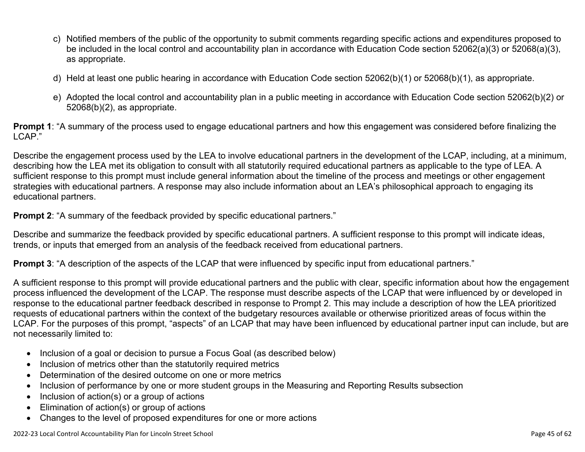- c) Notified members of the public of the opportunity to submit comments regarding specific actions and expenditures proposed to be included in the local control and accountability plan in accordance with Education Code section 52062(a)(3) or 52068(a)(3), as appropriate.
- d) Held at least one public hearing in accordance with Education Code section 52062(b)(1) or 52068(b)(1), as appropriate.
- e) Adopted the local control and accountability plan in a public meeting in accordance with Education Code section 52062(b)(2) or 52068(b)(2), as appropriate.

**Prompt 1**: "A summary of the process used to engage educational partners and how this engagement was considered before finalizing the LCAP."

Describe the engagement process used by the LEA to involve educational partners in the development of the LCAP, including, at a minimum, describing how the LEA met its obligation to consult with all statutorily required educational partners as applicable to the type of LEA. A sufficient response to this prompt must include general information about the timeline of the process and meetings or other engagement strategies with educational partners. A response may also include information about an LEA's philosophical approach to engaging its educational partners.

**Prompt 2:** "A summary of the feedback provided by specific educational partners."

Describe and summarize the feedback provided by specific educational partners. A sufficient response to this prompt will indicate ideas, trends, or inputs that emerged from an analysis of the feedback received from educational partners.

**Prompt 3**: "A description of the aspects of the LCAP that were influenced by specific input from educational partners."

A sufficient response to this prompt will provide educational partners and the public with clear, specific information about how the engagement process influenced the development of the LCAP. The response must describe aspects of the LCAP that were influenced by or developed in response to the educational partner feedback described in response to Prompt 2. This may include a description of how the LEA prioritized requests of educational partners within the context of the budgetary resources available or otherwise prioritized areas of focus within the LCAP. For the purposes of this prompt, "aspects" of an LCAP that may have been influenced by educational partner input can include, but are not necessarily limited to:

- Inclusion of a goal or decision to pursue a Focus Goal (as described below)
- Inclusion of metrics other than the statutorily required metrics
- Determination of the desired outcome on one or more metrics
- Inclusion of performance by one or more student groups in the Measuring and Reporting Results subsection
- Inclusion of action(s) or a group of actions
- Elimination of action(s) or group of actions
- Changes to the level of proposed expenditures for one or more actions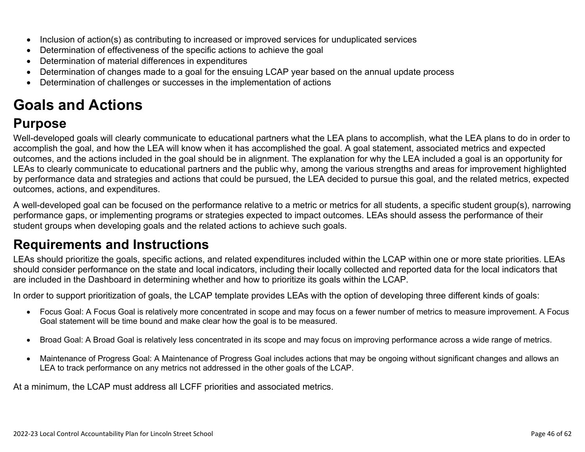- Inclusion of action(s) as contributing to increased or improved services for unduplicated services
- Determination of effectiveness of the specific actions to achieve the goal
- Determination of material differences in expenditures
- Determination of changes made to a goal for the ensuing LCAP year based on the annual update process
- Determination of challenges or successes in the implementation of actions

# **Goals and Actions**

## **Purpose**

Well-developed goals will clearly communicate to educational partners what the LEA plans to accomplish, what the LEA plans to do in order to accomplish the goal, and how the LEA will know when it has accomplished the goal. A goal statement, associated metrics and expected outcomes, and the actions included in the goal should be in alignment. The explanation for why the LEA included a goal is an opportunity for LEAs to clearly communicate to educational partners and the public why, among the various strengths and areas for improvement highlighted by performance data and strategies and actions that could be pursued, the LEA decided to pursue this goal, and the related metrics, expected outcomes, actions, and expenditures.

A well-developed goal can be focused on the performance relative to a metric or metrics for all students, a specific student group(s), narrowing performance gaps, or implementing programs or strategies expected to impact outcomes. LEAs should assess the performance of their student groups when developing goals and the related actions to achieve such goals.

## **Requirements and Instructions**

LEAs should prioritize the goals, specific actions, and related expenditures included within the LCAP within one or more state priorities. LEAs should consider performance on the state and local indicators, including their locally collected and reported data for the local indicators that are included in the Dashboard in determining whether and how to prioritize its goals within the LCAP.

In order to support prioritization of goals, the LCAP template provides LEAs with the option of developing three different kinds of goals:

- Focus Goal: A Focus Goal is relatively more concentrated in scope and may focus on a fewer number of metrics to measure improvement. A Focus Goal statement will be time bound and make clear how the goal is to be measured.
- Broad Goal: A Broad Goal is relatively less concentrated in its scope and may focus on improving performance across a wide range of metrics.
- Maintenance of Progress Goal: A Maintenance of Progress Goal includes actions that may be ongoing without significant changes and allows an LEA to track performance on any metrics not addressed in the other goals of the LCAP.

At a minimum, the LCAP must address all LCFF priorities and associated metrics.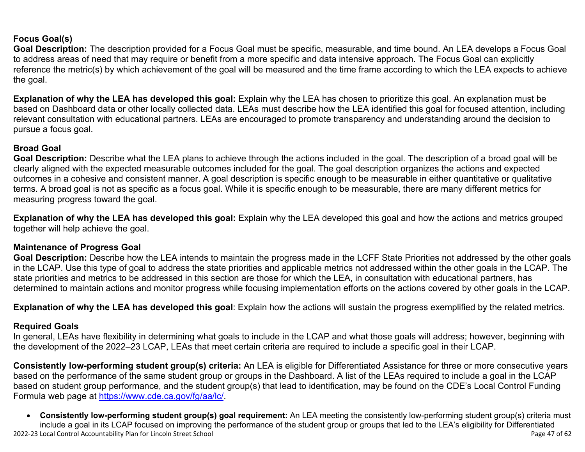### **Focus Goal(s)**

**Goal Description:** The description provided for a Focus Goal must be specific, measurable, and time bound. An LEA develops a Focus Goal to address areas of need that may require or benefit from a more specific and data intensive approach. The Focus Goal can explicitly reference the metric(s) by which achievement of the goal will be measured and the time frame according to which the LEA expects to achieve the goal.

**Explanation of why the LEA has developed this goal:** Explain why the LEA has chosen to prioritize this goal. An explanation must be based on Dashboard data or other locally collected data. LEAs must describe how the LEA identified this goal for focused attention, including relevant consultation with educational partners. LEAs are encouraged to promote transparency and understanding around the decision to pursue a focus goal.

#### **Broad Goal**

Goal Description: Describe what the LEA plans to achieve through the actions included in the goal. The description of a broad goal will be clearly aligned with the expected measurable outcomes included for the goal. The goal description organizes the actions and expected outcomes in a cohesive and consistent manner. A goal description is specific enough to be measurable in either quantitative or qualitative terms. A broad goal is not as specific as a focus goal. While it is specific enough to be measurable, there are many different metrics for measuring progress toward the goal.

**Explanation of why the LEA has developed this goal:** Explain why the LEA developed this goal and how the actions and metrics grouped together will help achieve the goal.

#### **Maintenance of Progress Goal**

**Goal Description:** Describe how the LEA intends to maintain the progress made in the LCFF State Priorities not addressed by the other goals in the LCAP. Use this type of goal to address the state priorities and applicable metrics not addressed within the other goals in the LCAP. The state priorities and metrics to be addressed in this section are those for which the LEA, in consultation with educational partners, has determined to maintain actions and monitor progress while focusing implementation efforts on the actions covered by other goals in the LCAP.

**Explanation of why the LEA has developed this goal**: Explain how the actions will sustain the progress exemplified by the related metrics.

#### **Required Goals**

In general, LEAs have flexibility in determining what goals to include in the LCAP and what those goals will address; however, beginning with the development of the 2022–23 LCAP, LEAs that meet certain criteria are required to include a specific goal in their LCAP.

**Consistently low-performing student group(s) criteria:** An LEA is eligible for Differentiated Assistance for three or more consecutive years based on the performance of the same student group or groups in the Dashboard. A list of the LEAs required to include a goal in the LCAP based on student group performance, and the student group(s) that lead to identification, may be found on the CDE's Local Control Funding Formula web page at [https://www.cde.ca.gov/fg/aa/lc/.](https://www.cde.ca.gov/fg/aa/lc/)

2022-23 Local Control Accountability Plan for Lincoln Street School Page 47 of 62 • **Consistently low-performing student group(s) goal requirement:** An LEA meeting the consistently low-performing student group(s) criteria must include a goal in its LCAP focused on improving the performance of the student group or groups that led to the LEA's eligibility for Differentiated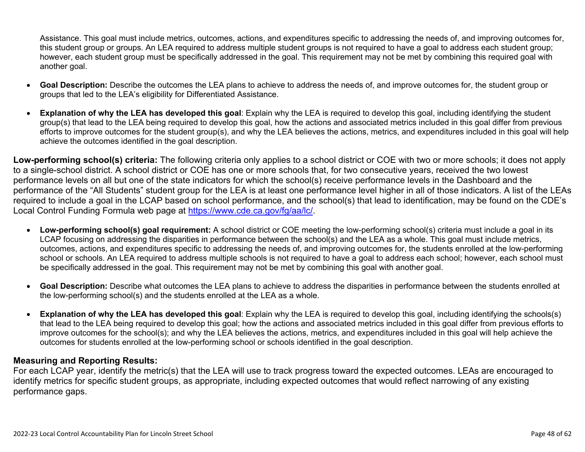Assistance. This goal must include metrics, outcomes, actions, and expenditures specific to addressing the needs of, and improving outcomes for, this student group or groups. An LEA required to address multiple student groups is not required to have a goal to address each student group; however, each student group must be specifically addressed in the goal. This requirement may not be met by combining this required goal with another goal.

- **Goal Description:** Describe the outcomes the LEA plans to achieve to address the needs of, and improve outcomes for, the student group or groups that led to the LEA's eligibility for Differentiated Assistance.
- **Explanation of why the LEA has developed this goal**: Explain why the LEA is required to develop this goal, including identifying the student group(s) that lead to the LEA being required to develop this goal, how the actions and associated metrics included in this goal differ from previous efforts to improve outcomes for the student group(s), and why the LEA believes the actions, metrics, and expenditures included in this goal will help achieve the outcomes identified in the goal description.

**Low-performing school(s) criteria:** The following criteria only applies to a school district or COE with two or more schools; it does not apply to a single-school district. A school district or COE has one or more schools that, for two consecutive years, received the two lowest performance levels on all but one of the state indicators for which the school(s) receive performance levels in the Dashboard and the performance of the "All Students" student group for the LEA is at least one performance level higher in all of those indicators. A list of the LEAs required to include a goal in the LCAP based on school performance, and the school(s) that lead to identification, may be found on the CDE's Local Control Funding Formula web page at [https://www.cde.ca.gov/fg/aa/lc/.](https://www.cde.ca.gov/fg/aa/lc/)

- **Low-performing school(s) goal requirement:** A school district or COE meeting the low-performing school(s) criteria must include a goal in its LCAP focusing on addressing the disparities in performance between the school(s) and the LEA as a whole. This goal must include metrics, outcomes, actions, and expenditures specific to addressing the needs of, and improving outcomes for, the students enrolled at the low-performing school or schools. An LEA required to address multiple schools is not required to have a goal to address each school; however, each school must be specifically addressed in the goal. This requirement may not be met by combining this goal with another goal.
- **Goal Description:** Describe what outcomes the LEA plans to achieve to address the disparities in performance between the students enrolled at the low-performing school(s) and the students enrolled at the LEA as a whole.
- **Explanation of why the LEA has developed this goal**: Explain why the LEA is required to develop this goal, including identifying the schools(s) that lead to the LEA being required to develop this goal; how the actions and associated metrics included in this goal differ from previous efforts to improve outcomes for the school(s); and why the LEA believes the actions, metrics, and expenditures included in this goal will help achieve the outcomes for students enrolled at the low-performing school or schools identified in the goal description.

#### **Measuring and Reporting Results:**

For each LCAP year, identify the metric(s) that the LEA will use to track progress toward the expected outcomes. LEAs are encouraged to identify metrics for specific student groups, as appropriate, including expected outcomes that would reflect narrowing of any existing performance gaps.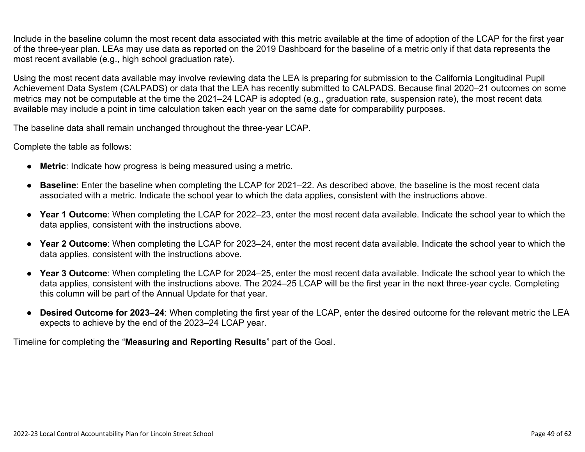Include in the baseline column the most recent data associated with this metric available at the time of adoption of the LCAP for the first year of the three-year plan. LEAs may use data as reported on the 2019 Dashboard for the baseline of a metric only if that data represents the most recent available (e.g., high school graduation rate).

Using the most recent data available may involve reviewing data the LEA is preparing for submission to the California Longitudinal Pupil Achievement Data System (CALPADS) or data that the LEA has recently submitted to CALPADS. Because final 2020–21 outcomes on some metrics may not be computable at the time the 2021–24 LCAP is adopted (e.g., graduation rate, suspension rate), the most recent data available may include a point in time calculation taken each year on the same date for comparability purposes.

The baseline data shall remain unchanged throughout the three-year LCAP.

Complete the table as follows:

- **Metric**: Indicate how progress is being measured using a metric.
- **Baseline**: Enter the baseline when completing the LCAP for 2021–22. As described above, the baseline is the most recent data associated with a metric. Indicate the school year to which the data applies, consistent with the instructions above.
- **Year 1 Outcome**: When completing the LCAP for 2022–23, enter the most recent data available. Indicate the school year to which the data applies, consistent with the instructions above.
- **Year 2 Outcome**: When completing the LCAP for 2023–24, enter the most recent data available. Indicate the school year to which the data applies, consistent with the instructions above.
- **Year 3 Outcome**: When completing the LCAP for 2024–25, enter the most recent data available. Indicate the school year to which the data applies, consistent with the instructions above. The 2024–25 LCAP will be the first year in the next three-year cycle. Completing this column will be part of the Annual Update for that year.
- **Desired Outcome for 2023**–**24**: When completing the first year of the LCAP, enter the desired outcome for the relevant metric the LEA expects to achieve by the end of the 2023–24 LCAP year.

Timeline for completing the "**Measuring and Reporting Results**" part of the Goal.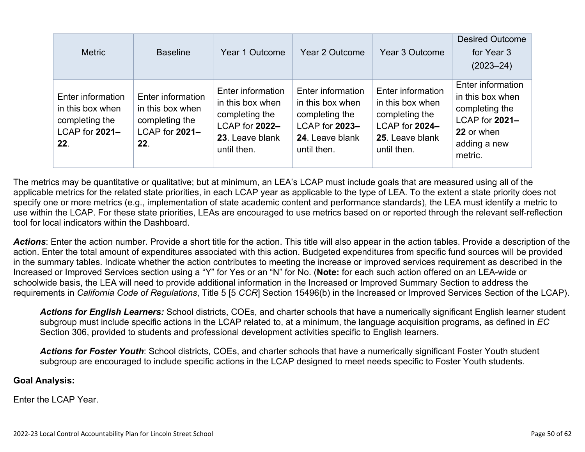| <b>Metric</b>                                                                    | <b>Baseline</b>                                                                  | Year 1 Outcome                                                                                              | Year 2 Outcome                                                                                              | Year 3 Outcome                                                                                              | <b>Desired Outcome</b><br>for Year 3<br>$(2023 - 24)$                                                              |
|----------------------------------------------------------------------------------|----------------------------------------------------------------------------------|-------------------------------------------------------------------------------------------------------------|-------------------------------------------------------------------------------------------------------------|-------------------------------------------------------------------------------------------------------------|--------------------------------------------------------------------------------------------------------------------|
| Enter information<br>in this box when<br>completing the<br>LCAP for 2021-<br>22. | Enter information<br>in this box when<br>completing the<br>LCAP for 2021-<br>22. | Enter information<br>in this box when<br>completing the<br>LCAP for 2022-<br>23. Leave blank<br>until then. | Enter information<br>in this box when<br>completing the<br>LCAP for 2023-<br>24. Leave blank<br>until then. | Enter information<br>in this box when<br>completing the<br>LCAP for 2024-<br>25. Leave blank<br>until then. | Enter information<br>in this box when<br>completing the<br>LCAP for 2021-<br>22 or when<br>adding a new<br>metric. |

The metrics may be quantitative or qualitative; but at minimum, an LEA's LCAP must include goals that are measured using all of the applicable metrics for the related state priorities, in each LCAP year as applicable to the type of LEA. To the extent a state priority does not specify one or more metrics (e.g., implementation of state academic content and performance standards), the LEA must identify a metric to use within the LCAP. For these state priorities, LEAs are encouraged to use metrics based on or reported through the relevant self-reflection tool for local indicators within the Dashboard.

*Actions*: Enter the action number. Provide a short title for the action. This title will also appear in the action tables. Provide a description of the action. Enter the total amount of expenditures associated with this action. Budgeted expenditures from specific fund sources will be provided in the summary tables. Indicate whether the action contributes to meeting the increase or improved services requirement as described in the Increased or Improved Services section using a "Y" for Yes or an "N" for No. (**Note:** for each such action offered on an LEA-wide or schoolwide basis, the LEA will need to provide additional information in the Increased or Improved Summary Section to address the requirements in *California Code of Regulations*, Title 5 [5 *CCR*] Section 15496(b) in the Increased or Improved Services Section of the LCAP).

*Actions for English Learners:* School districts, COEs, and charter schools that have a numerically significant English learner student subgroup must include specific actions in the LCAP related to, at a minimum, the language acquisition programs, as defined in *EC* Section 306, provided to students and professional development activities specific to English learners.

*Actions for Foster Youth*: School districts, COEs, and charter schools that have a numerically significant Foster Youth student subgroup are encouraged to include specific actions in the LCAP designed to meet needs specific to Foster Youth students.

#### **Goal Analysis:**

Enter the LCAP Year.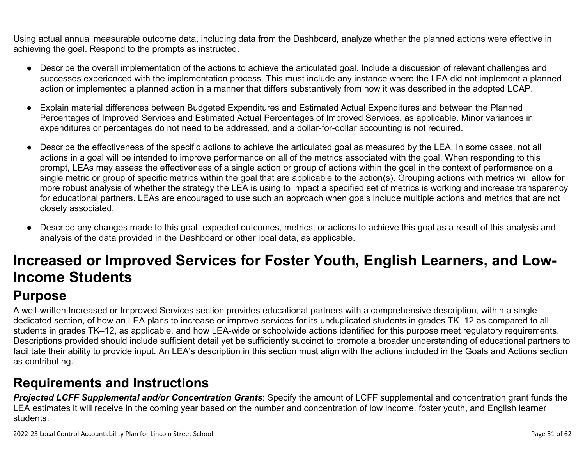Using actual annual measurable outcome data, including data from the Dashboard, analyze whether the planned actions were effective in achieving the goal. Respond to the prompts as instructed.

- Describe the overall implementation of the actions to achieve the articulated goal. Include a discussion of relevant challenges and successes experienced with the implementation process. This must include any instance where the LEA did not implement a planned action or implemented a planned action in a manner that differs substantively from how it was described in the adopted LCAP.
- Explain material differences between Budgeted Expenditures and Estimated Actual Expenditures and between the Planned Percentages of Improved Services and Estimated Actual Percentages of Improved Services, as applicable. Minor variances in expenditures or percentages do not need to be addressed, and a dollar-for-dollar accounting is not required.
- Describe the effectiveness of the specific actions to achieve the articulated goal as measured by the LEA. In some cases, not all actions in a goal will be intended to improve performance on all of the metrics associated with the goal. When responding to this prompt, LEAs may assess the effectiveness of a single action or group of actions within the goal in the context of performance on a single metric or group of specific metrics within the goal that are applicable to the action(s). Grouping actions with metrics will allow for more robust analysis of whether the strategy the LEA is using to impact a specified set of metrics is working and increase transparency for educational partners. LEAs are encouraged to use such an approach when goals include multiple actions and metrics that are not closely associated.
- Describe any changes made to this goal, expected outcomes, metrics, or actions to achieve this goal as a result of this analysis and analysis of the data provided in the Dashboard or other local data, as applicable.

# **Increased or Improved Services for Foster Youth, English Learners, and Low-Income Students**

## **Purpose**

A well-written Increased or Improved Services section provides educational partners with a comprehensive description, within a single dedicated section, of how an LEA plans to increase or improve services for its unduplicated students in grades TK–12 as compared to all students in grades TK–12, as applicable, and how LEA-wide or schoolwide actions identified for this purpose meet regulatory requirements. Descriptions provided should include sufficient detail yet be sufficiently succinct to promote a broader understanding of educational partners to facilitate their ability to provide input. An LEA's description in this section must align with the actions included in the Goals and Actions section as contributing.

## **Requirements and Instructions**

*Projected LCFF Supplemental and/or Concentration Grants*: Specify the amount of LCFF supplemental and concentration grant funds the LEA estimates it will receive in the coming year based on the number and concentration of low income, foster youth, and English learner students.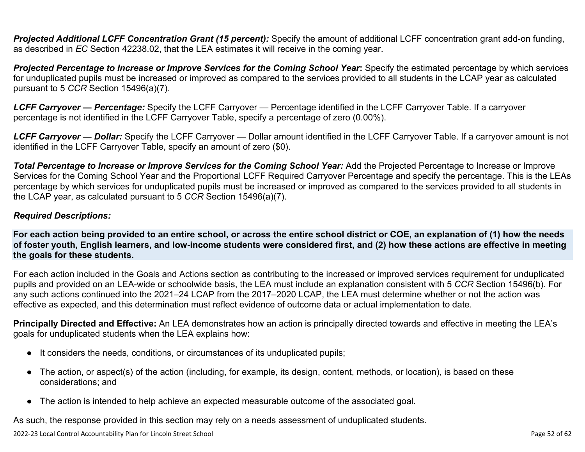**Projected Additional LCFF Concentration Grant (15 percent):** Specify the amount of additional LCFF concentration grant add-on funding, as described in *EC* Section 42238.02, that the LEA estimates it will receive in the coming year.

*Projected Percentage to Increase or Improve Services for the Coming School Year***:** Specify the estimated percentage by which services for unduplicated pupils must be increased or improved as compared to the services provided to all students in the LCAP year as calculated pursuant to 5 *CCR* Section 15496(a)(7).

*LCFF Carryover — Percentage:* Specify the LCFF Carryover — Percentage identified in the LCFF Carryover Table. If a carryover percentage is not identified in the LCFF Carryover Table, specify a percentage of zero (0.00%).

*LCFF Carryover — Dollar:* Specify the LCFF Carryover — Dollar amount identified in the LCFF Carryover Table. If a carryover amount is not identified in the LCFF Carryover Table, specify an amount of zero (\$0).

**Total Percentage to Increase or Improve Services for the Coming School Year:** Add the Projected Percentage to Increase or Improve Services for the Coming School Year and the Proportional LCFF Required Carryover Percentage and specify the percentage. This is the LEAs percentage by which services for unduplicated pupils must be increased or improved as compared to the services provided to all students in the LCAP year, as calculated pursuant to 5 *CCR* Section 15496(a)(7).

#### *Required Descriptions:*

**For each action being provided to an entire school, or across the entire school district or COE, an explanation of (1) how the needs of foster youth, English learners, and low-income students were considered first, and (2) how these actions are effective in meeting the goals for these students.**

For each action included in the Goals and Actions section as contributing to the increased or improved services requirement for unduplicated pupils and provided on an LEA-wide or schoolwide basis, the LEA must include an explanation consistent with 5 *CCR* Section 15496(b). For any such actions continued into the 2021–24 LCAP from the 2017–2020 LCAP, the LEA must determine whether or not the action was effective as expected, and this determination must reflect evidence of outcome data or actual implementation to date.

**Principally Directed and Effective:** An LEA demonstrates how an action is principally directed towards and effective in meeting the LEA's goals for unduplicated students when the LEA explains how:

- It considers the needs, conditions, or circumstances of its unduplicated pupils;
- The action, or aspect(s) of the action (including, for example, its design, content, methods, or location), is based on these considerations; and
- The action is intended to help achieve an expected measurable outcome of the associated goal.

As such, the response provided in this section may rely on a needs assessment of unduplicated students.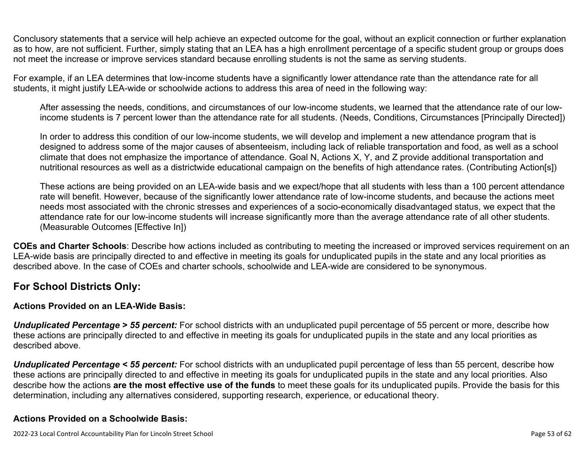Conclusory statements that a service will help achieve an expected outcome for the goal, without an explicit connection or further explanation as to how, are not sufficient. Further, simply stating that an LEA has a high enrollment percentage of a specific student group or groups does not meet the increase or improve services standard because enrolling students is not the same as serving students.

For example, if an LEA determines that low-income students have a significantly lower attendance rate than the attendance rate for all students, it might justify LEA-wide or schoolwide actions to address this area of need in the following way:

After assessing the needs, conditions, and circumstances of our low-income students, we learned that the attendance rate of our lowincome students is 7 percent lower than the attendance rate for all students. (Needs, Conditions, Circumstances [Principally Directed])

In order to address this condition of our low-income students, we will develop and implement a new attendance program that is designed to address some of the major causes of absenteeism, including lack of reliable transportation and food, as well as a school climate that does not emphasize the importance of attendance. Goal N, Actions X, Y, and Z provide additional transportation and nutritional resources as well as a districtwide educational campaign on the benefits of high attendance rates. (Contributing Action[s])

These actions are being provided on an LEA-wide basis and we expect/hope that all students with less than a 100 percent attendance rate will benefit. However, because of the significantly lower attendance rate of low-income students, and because the actions meet needs most associated with the chronic stresses and experiences of a socio-economically disadvantaged status, we expect that the attendance rate for our low-income students will increase significantly more than the average attendance rate of all other students. (Measurable Outcomes [Effective In])

**COEs and Charter Schools**: Describe how actions included as contributing to meeting the increased or improved services requirement on an LEA-wide basis are principally directed to and effective in meeting its goals for unduplicated pupils in the state and any local priorities as described above. In the case of COEs and charter schools, schoolwide and LEA-wide are considered to be synonymous.

### **For School Districts Only:**

### **Actions Provided on an LEA-Wide Basis:**

*Unduplicated Percentage > 55 percent:* For school districts with an unduplicated pupil percentage of 55 percent or more, describe how these actions are principally directed to and effective in meeting its goals for unduplicated pupils in the state and any local priorities as described above.

*Unduplicated Percentage < 55 percent:* For school districts with an unduplicated pupil percentage of less than 55 percent, describe how these actions are principally directed to and effective in meeting its goals for unduplicated pupils in the state and any local priorities. Also describe how the actions **are the most effective use of the funds** to meet these goals for its unduplicated pupils. Provide the basis for this determination, including any alternatives considered, supporting research, experience, or educational theory.

#### **Actions Provided on a Schoolwide Basis:**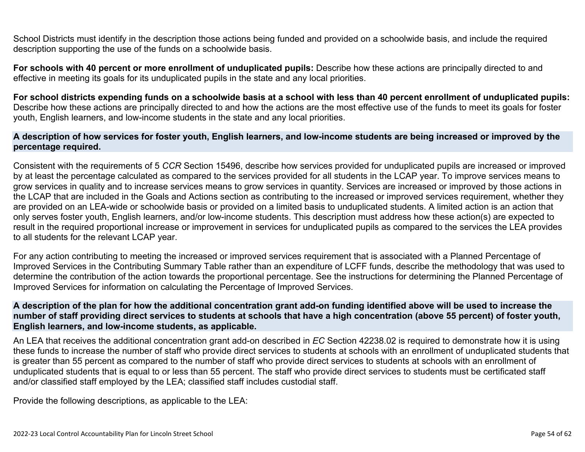School Districts must identify in the description those actions being funded and provided on a schoolwide basis, and include the required description supporting the use of the funds on a schoolwide basis.

**For schools with 40 percent or more enrollment of unduplicated pupils:** Describe how these actions are principally directed to and effective in meeting its goals for its unduplicated pupils in the state and any local priorities.

**For school districts expending funds on a schoolwide basis at a school with less than 40 percent enrollment of unduplicated pupils:** Describe how these actions are principally directed to and how the actions are the most effective use of the funds to meet its goals for foster youth, English learners, and low-income students in the state and any local priorities.

#### **A description of how services for foster youth, English learners, and low-income students are being increased or improved by the percentage required.**

Consistent with the requirements of 5 *CCR* Section 15496, describe how services provided for unduplicated pupils are increased or improved by at least the percentage calculated as compared to the services provided for all students in the LCAP year. To improve services means to grow services in quality and to increase services means to grow services in quantity. Services are increased or improved by those actions in the LCAP that are included in the Goals and Actions section as contributing to the increased or improved services requirement, whether they are provided on an LEA-wide or schoolwide basis or provided on a limited basis to unduplicated students. A limited action is an action that only serves foster youth, English learners, and/or low-income students. This description must address how these action(s) are expected to result in the required proportional increase or improvement in services for unduplicated pupils as compared to the services the LEA provides to all students for the relevant LCAP year.

For any action contributing to meeting the increased or improved services requirement that is associated with a Planned Percentage of Improved Services in the Contributing Summary Table rather than an expenditure of LCFF funds, describe the methodology that was used to determine the contribution of the action towards the proportional percentage. See the instructions for determining the Planned Percentage of Improved Services for information on calculating the Percentage of Improved Services.

#### **A description of the plan for how the additional concentration grant add-on funding identified above will be used to increase the number of staff providing direct services to students at schools that have a high concentration (above 55 percent) of foster youth, English learners, and low-income students, as applicable.**

An LEA that receives the additional concentration grant add-on described in *EC* Section 42238.02 is required to demonstrate how it is using these funds to increase the number of staff who provide direct services to students at schools with an enrollment of unduplicated students that is greater than 55 percent as compared to the number of staff who provide direct services to students at schools with an enrollment of unduplicated students that is equal to or less than 55 percent. The staff who provide direct services to students must be certificated staff and/or classified staff employed by the LEA; classified staff includes custodial staff.

Provide the following descriptions, as applicable to the LEA: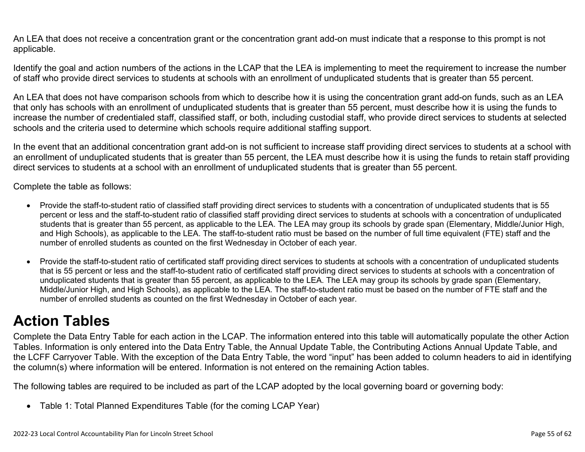An LEA that does not receive a concentration grant or the concentration grant add-on must indicate that a response to this prompt is not applicable.

Identify the goal and action numbers of the actions in the LCAP that the LEA is implementing to meet the requirement to increase the number of staff who provide direct services to students at schools with an enrollment of unduplicated students that is greater than 55 percent.

An LEA that does not have comparison schools from which to describe how it is using the concentration grant add-on funds, such as an LEA that only has schools with an enrollment of unduplicated students that is greater than 55 percent, must describe how it is using the funds to increase the number of credentialed staff, classified staff, or both, including custodial staff, who provide direct services to students at selected schools and the criteria used to determine which schools require additional staffing support.

In the event that an additional concentration grant add-on is not sufficient to increase staff providing direct services to students at a school with an enrollment of unduplicated students that is greater than 55 percent, the LEA must describe how it is using the funds to retain staff providing direct services to students at a school with an enrollment of unduplicated students that is greater than 55 percent.

Complete the table as follows:

- Provide the staff-to-student ratio of classified staff providing direct services to students with a concentration of unduplicated students that is 55 percent or less and the staff-to-student ratio of classified staff providing direct services to students at schools with a concentration of unduplicated students that is greater than 55 percent, as applicable to the LEA. The LEA may group its schools by grade span (Elementary, Middle/Junior High, and High Schools), as applicable to the LEA. The staff-to-student ratio must be based on the number of full time equivalent (FTE) staff and the number of enrolled students as counted on the first Wednesday in October of each year.
- Provide the staff-to-student ratio of certificated staff providing direct services to students at schools with a concentration of unduplicated students that is 55 percent or less and the staff-to-student ratio of certificated staff providing direct services to students at schools with a concentration of unduplicated students that is greater than 55 percent, as applicable to the LEA. The LEA may group its schools by grade span (Elementary, Middle/Junior High, and High Schools), as applicable to the LEA. The staff-to-student ratio must be based on the number of FTE staff and the number of enrolled students as counted on the first Wednesday in October of each year.

## **Action Tables**

Complete the Data Entry Table for each action in the LCAP. The information entered into this table will automatically populate the other Action Tables. Information is only entered into the Data Entry Table, the Annual Update Table, the Contributing Actions Annual Update Table, and the LCFF Carryover Table. With the exception of the Data Entry Table, the word "input" has been added to column headers to aid in identifying the column(s) where information will be entered. Information is not entered on the remaining Action tables.

The following tables are required to be included as part of the LCAP adopted by the local governing board or governing body:

• Table 1: Total Planned Expenditures Table (for the coming LCAP Year)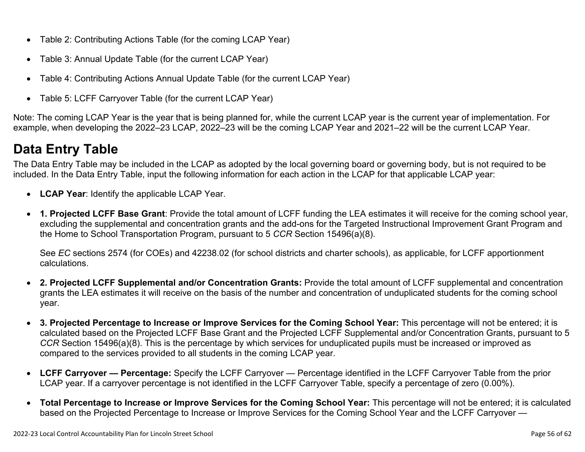- Table 2: Contributing Actions Table (for the coming LCAP Year)
- Table 3: Annual Update Table (for the current LCAP Year)
- Table 4: Contributing Actions Annual Update Table (for the current LCAP Year)
- Table 5: LCFF Carryover Table (for the current LCAP Year)

Note: The coming LCAP Year is the year that is being planned for, while the current LCAP year is the current year of implementation. For example, when developing the 2022–23 LCAP, 2022–23 will be the coming LCAP Year and 2021–22 will be the current LCAP Year.

## **Data Entry Table**

The Data Entry Table may be included in the LCAP as adopted by the local governing board or governing body, but is not required to be included. In the Data Entry Table, input the following information for each action in the LCAP for that applicable LCAP year:

- **LCAP Year**: Identify the applicable LCAP Year.
- **1. Projected LCFF Base Grant**: Provide the total amount of LCFF funding the LEA estimates it will receive for the coming school year, excluding the supplemental and concentration grants and the add-ons for the Targeted Instructional Improvement Grant Program and the Home to School Transportation Program, pursuant to 5 *CCR* Section 15496(a)(8).

See *EC* sections 2574 (for COEs) and 42238.02 (for school districts and charter schools), as applicable, for LCFF apportionment calculations.

- **2. Projected LCFF Supplemental and/or Concentration Grants:** Provide the total amount of LCFF supplemental and concentration grants the LEA estimates it will receive on the basis of the number and concentration of unduplicated students for the coming school year.
- **3. Projected Percentage to Increase or Improve Services for the Coming School Year:** This percentage will not be entered; it is calculated based on the Projected LCFF Base Grant and the Projected LCFF Supplemental and/or Concentration Grants, pursuant to 5 *CCR* Section 15496(a)(8). This is the percentage by which services for unduplicated pupils must be increased or improved as compared to the services provided to all students in the coming LCAP year.
- **LCFF Carryover Percentage:** Specify the LCFF Carryover Percentage identified in the LCFF Carryover Table from the prior LCAP year. If a carryover percentage is not identified in the LCFF Carryover Table, specify a percentage of zero (0.00%).
- **Total Percentage to Increase or Improve Services for the Coming School Year:** This percentage will not be entered; it is calculated based on the Projected Percentage to Increase or Improve Services for the Coming School Year and the LCFF Carryover —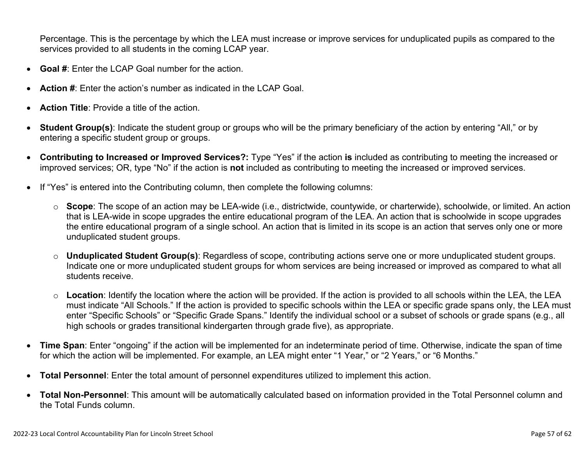Percentage. This is the percentage by which the LEA must increase or improve services for unduplicated pupils as compared to the services provided to all students in the coming LCAP year.

- **Goal #**: Enter the LCAP Goal number for the action.
- **Action #**: Enter the action's number as indicated in the LCAP Goal.
- **Action Title**: Provide a title of the action.
- **Student Group(s)**: Indicate the student group or groups who will be the primary beneficiary of the action by entering "All," or by entering a specific student group or groups.
- **Contributing to Increased or Improved Services?:** Type "Yes" if the action **is** included as contributing to meeting the increased or improved services; OR, type "No" if the action is **not** included as contributing to meeting the increased or improved services.
- If "Yes" is entered into the Contributing column, then complete the following columns:
	- o **Scope**: The scope of an action may be LEA-wide (i.e., districtwide, countywide, or charterwide), schoolwide, or limited. An action that is LEA-wide in scope upgrades the entire educational program of the LEA. An action that is schoolwide in scope upgrades the entire educational program of a single school. An action that is limited in its scope is an action that serves only one or more unduplicated student groups.
	- o **Unduplicated Student Group(s)**: Regardless of scope, contributing actions serve one or more unduplicated student groups. Indicate one or more unduplicated student groups for whom services are being increased or improved as compared to what all students receive.
	- o **Location**: Identify the location where the action will be provided. If the action is provided to all schools within the LEA, the LEA must indicate "All Schools." If the action is provided to specific schools within the LEA or specific grade spans only, the LEA must enter "Specific Schools" or "Specific Grade Spans." Identify the individual school or a subset of schools or grade spans (e.g., all high schools or grades transitional kindergarten through grade five), as appropriate.
- **Time Span**: Enter "ongoing" if the action will be implemented for an indeterminate period of time. Otherwise, indicate the span of time for which the action will be implemented. For example, an LEA might enter "1 Year," or "2 Years," or "6 Months."
- **Total Personnel**: Enter the total amount of personnel expenditures utilized to implement this action.
- **Total Non-Personnel**: This amount will be automatically calculated based on information provided in the Total Personnel column and the Total Funds column.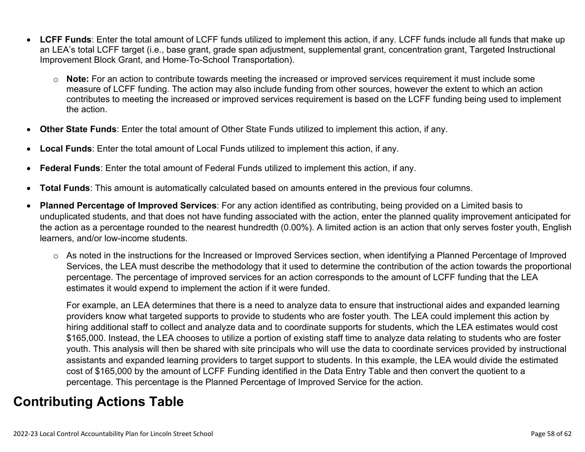- **LCFF Funds**: Enter the total amount of LCFF funds utilized to implement this action, if any. LCFF funds include all funds that make up an LEA's total LCFF target (i.e., base grant, grade span adjustment, supplemental grant, concentration grant, Targeted Instructional Improvement Block Grant, and Home-To-School Transportation).
	- o **Note:** For an action to contribute towards meeting the increased or improved services requirement it must include some measure of LCFF funding. The action may also include funding from other sources, however the extent to which an action contributes to meeting the increased or improved services requirement is based on the LCFF funding being used to implement the action.
- **Other State Funds**: Enter the total amount of Other State Funds utilized to implement this action, if any.
- **Local Funds**: Enter the total amount of Local Funds utilized to implement this action, if any.
- **Federal Funds**: Enter the total amount of Federal Funds utilized to implement this action, if any.
- **Total Funds**: This amount is automatically calculated based on amounts entered in the previous four columns.
- **Planned Percentage of Improved Services**: For any action identified as contributing, being provided on a Limited basis to unduplicated students, and that does not have funding associated with the action, enter the planned quality improvement anticipated for the action as a percentage rounded to the nearest hundredth (0.00%). A limited action is an action that only serves foster youth, English learners, and/or low-income students.
	- o As noted in the instructions for the Increased or Improved Services section, when identifying a Planned Percentage of Improved Services, the LEA must describe the methodology that it used to determine the contribution of the action towards the proportional percentage. The percentage of improved services for an action corresponds to the amount of LCFF funding that the LEA estimates it would expend to implement the action if it were funded.

For example, an LEA determines that there is a need to analyze data to ensure that instructional aides and expanded learning providers know what targeted supports to provide to students who are foster youth. The LEA could implement this action by hiring additional staff to collect and analyze data and to coordinate supports for students, which the LEA estimates would cost \$165,000. Instead, the LEA chooses to utilize a portion of existing staff time to analyze data relating to students who are foster youth. This analysis will then be shared with site principals who will use the data to coordinate services provided by instructional assistants and expanded learning providers to target support to students. In this example, the LEA would divide the estimated cost of \$165,000 by the amount of LCFF Funding identified in the Data Entry Table and then convert the quotient to a percentage. This percentage is the Planned Percentage of Improved Service for the action.

## **Contributing Actions Table**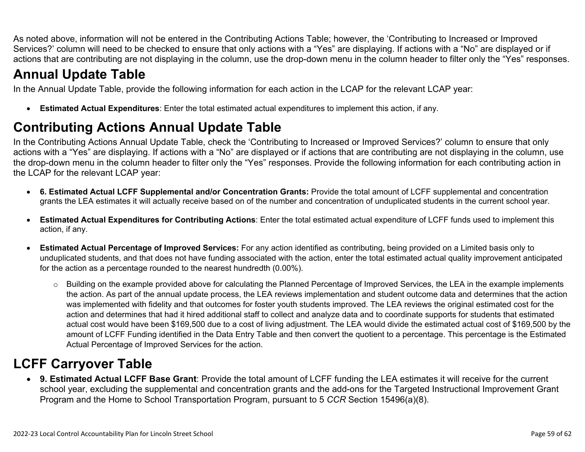As noted above, information will not be entered in the Contributing Actions Table; however, the 'Contributing to Increased or Improved Services?' column will need to be checked to ensure that only actions with a "Yes" are displaying. If actions with a "No" are displayed or if actions that are contributing are not displaying in the column, use the drop-down menu in the column header to filter only the "Yes" responses.

## **Annual Update Table**

In the Annual Update Table, provide the following information for each action in the LCAP for the relevant LCAP year:

• **Estimated Actual Expenditures**: Enter the total estimated actual expenditures to implement this action, if any.

## **Contributing Actions Annual Update Table**

In the Contributing Actions Annual Update Table, check the 'Contributing to Increased or Improved Services?' column to ensure that only actions with a "Yes" are displaying. If actions with a "No" are displayed or if actions that are contributing are not displaying in the column, use the drop-down menu in the column header to filter only the "Yes" responses. Provide the following information for each contributing action in the LCAP for the relevant LCAP year:

- **6. Estimated Actual LCFF Supplemental and/or Concentration Grants:** Provide the total amount of LCFF supplemental and concentration grants the LEA estimates it will actually receive based on of the number and concentration of unduplicated students in the current school year.
- **Estimated Actual Expenditures for Contributing Actions**: Enter the total estimated actual expenditure of LCFF funds used to implement this action, if any.
- **Estimated Actual Percentage of Improved Services:** For any action identified as contributing, being provided on a Limited basis only to unduplicated students, and that does not have funding associated with the action, enter the total estimated actual quality improvement anticipated for the action as a percentage rounded to the nearest hundredth (0.00%).
	- o Building on the example provided above for calculating the Planned Percentage of Improved Services, the LEA in the example implements the action. As part of the annual update process, the LEA reviews implementation and student outcome data and determines that the action was implemented with fidelity and that outcomes for foster youth students improved. The LEA reviews the original estimated cost for the action and determines that had it hired additional staff to collect and analyze data and to coordinate supports for students that estimated actual cost would have been \$169,500 due to a cost of living adjustment. The LEA would divide the estimated actual cost of \$169,500 by the amount of LCFF Funding identified in the Data Entry Table and then convert the quotient to a percentage. This percentage is the Estimated Actual Percentage of Improved Services for the action.

## **LCFF Carryover Table**

• **9. Estimated Actual LCFF Base Grant**: Provide the total amount of LCFF funding the LEA estimates it will receive for the current school year, excluding the supplemental and concentration grants and the add-ons for the Targeted Instructional Improvement Grant Program and the Home to School Transportation Program, pursuant to 5 *CCR* Section 15496(a)(8).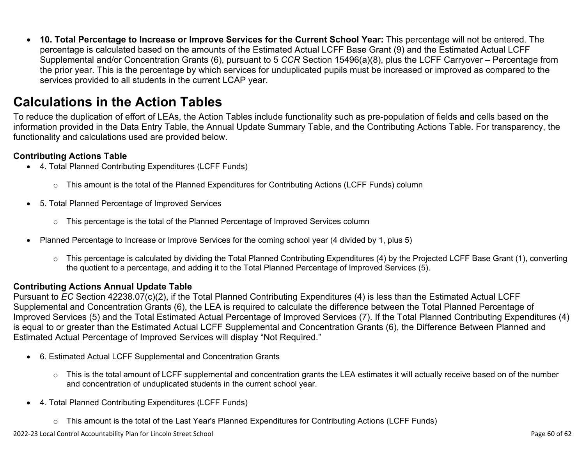• **10. Total Percentage to Increase or Improve Services for the Current School Year:** This percentage will not be entered. The percentage is calculated based on the amounts of the Estimated Actual LCFF Base Grant (9) and the Estimated Actual LCFF Supplemental and/or Concentration Grants (6), pursuant to 5 *CCR* Section 15496(a)(8), plus the LCFF Carryover – Percentage from the prior year. This is the percentage by which services for unduplicated pupils must be increased or improved as compared to the services provided to all students in the current LCAP year.

### **Calculations in the Action Tables**

To reduce the duplication of effort of LEAs, the Action Tables include functionality such as pre-population of fields and cells based on the information provided in the Data Entry Table, the Annual Update Summary Table, and the Contributing Actions Table. For transparency, the functionality and calculations used are provided below.

#### **Contributing Actions Table**

- 4. Total Planned Contributing Expenditures (LCFF Funds)
	- $\circ$  This amount is the total of the Planned Expenditures for Contributing Actions (LCFF Funds) column
- 5. Total Planned Percentage of Improved Services
	- $\circ$  This percentage is the total of the Planned Percentage of Improved Services column
- Planned Percentage to Increase or Improve Services for the coming school year (4 divided by 1, plus 5)
	- o This percentage is calculated by dividing the Total Planned Contributing Expenditures (4) by the Projected LCFF Base Grant (1), converting the quotient to a percentage, and adding it to the Total Planned Percentage of Improved Services (5).

#### **Contributing Actions Annual Update Table**

Pursuant to *EC* Section 42238.07(c)(2), if the Total Planned Contributing Expenditures (4) is less than the Estimated Actual LCFF Supplemental and Concentration Grants (6), the LEA is required to calculate the difference between the Total Planned Percentage of Improved Services (5) and the Total Estimated Actual Percentage of Improved Services (7). If the Total Planned Contributing Expenditures (4) is equal to or greater than the Estimated Actual LCFF Supplemental and Concentration Grants (6), the Difference Between Planned and Estimated Actual Percentage of Improved Services will display "Not Required."

- 6. Estimated Actual LCFF Supplemental and Concentration Grants
	- o This is the total amount of LCFF supplemental and concentration grants the LEA estimates it will actually receive based on of the number and concentration of unduplicated students in the current school year.
- 4. Total Planned Contributing Expenditures (LCFF Funds)
	- $\circ$  This amount is the total of the Last Year's Planned Expenditures for Contributing Actions (LCFF Funds)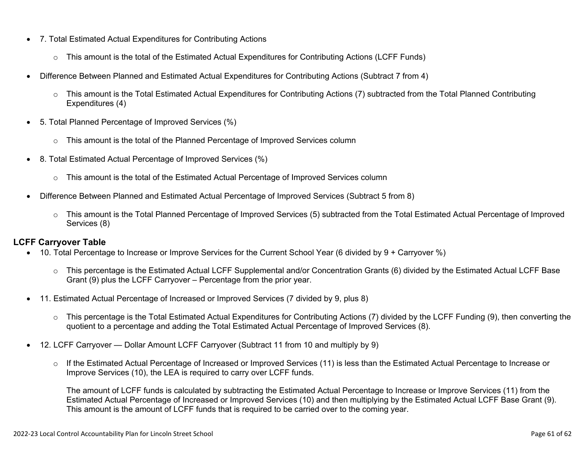- 7. Total Estimated Actual Expenditures for Contributing Actions
	- o This amount is the total of the Estimated Actual Expenditures for Contributing Actions (LCFF Funds)
- Difference Between Planned and Estimated Actual Expenditures for Contributing Actions (Subtract 7 from 4)
	- $\circ$  This amount is the Total Estimated Actual Expenditures for Contributing Actions (7) subtracted from the Total Planned Contributing Expenditures (4)
- 5. Total Planned Percentage of Improved Services (%)
	- o This amount is the total of the Planned Percentage of Improved Services column
- 8. Total Estimated Actual Percentage of Improved Services (%)
	- o This amount is the total of the Estimated Actual Percentage of Improved Services column
- Difference Between Planned and Estimated Actual Percentage of Improved Services (Subtract 5 from 8)
	- o This amount is the Total Planned Percentage of Improved Services (5) subtracted from the Total Estimated Actual Percentage of Improved Services (8)

#### **LCFF Carryover Table**

- 10. Total Percentage to Increase or Improve Services for the Current School Year (6 divided by 9 + Carryover %)
	- $\circ$  This percentage is the Estimated Actual LCFF Supplemental and/or Concentration Grants (6) divided by the Estimated Actual LCFF Base Grant (9) plus the LCFF Carryover – Percentage from the prior year.
- 11. Estimated Actual Percentage of Increased or Improved Services (7 divided by 9, plus 8)
	- o This percentage is the Total Estimated Actual Expenditures for Contributing Actions (7) divided by the LCFF Funding (9), then converting the quotient to a percentage and adding the Total Estimated Actual Percentage of Improved Services (8).
- 12. LCFF Carryover Dollar Amount LCFF Carryover (Subtract 11 from 10 and multiply by 9)
	- $\circ$  If the Estimated Actual Percentage of Increased or Improved Services (11) is less than the Estimated Actual Percentage to Increase or Improve Services (10), the LEA is required to carry over LCFF funds.

The amount of LCFF funds is calculated by subtracting the Estimated Actual Percentage to Increase or Improve Services (11) from the Estimated Actual Percentage of Increased or Improved Services (10) and then multiplying by the Estimated Actual LCFF Base Grant (9). This amount is the amount of LCFF funds that is required to be carried over to the coming year.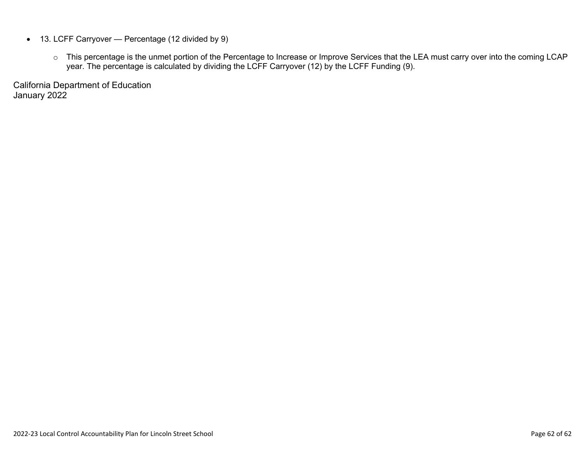- 13. LCFF Carryover Percentage (12 divided by 9)
	- o This percentage is the unmet portion of the Percentage to Increase or Improve Services that the LEA must carry over into the coming LCAP year. The percentage is calculated by dividing the LCFF Carryover (12) by the LCFF Funding (9).

California Department of Education January 2022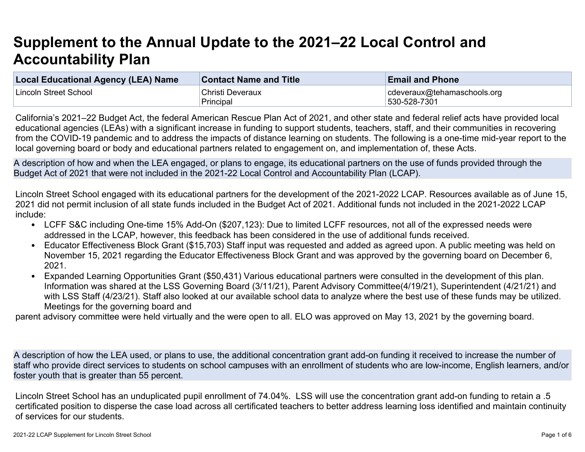# **Supplement to the Annual Update to the 2021–22 Local Control and Accountability Plan**

| <b>Local Educational Agency (LEA) Name</b> | <b>Contact Name and Title</b> | <b>Email and Phone</b>      |
|--------------------------------------------|-------------------------------|-----------------------------|
| Lincoln Street School                      | Christi Deveraux              | cdeveraux@tehamaschools.org |
|                                            | Principal                     | 530-528-7301                |

California's 2021–22 Budget Act, the federal American Rescue Plan Act of 2021, and other state and federal relief acts have provided local educational agencies (LEAs) with a significant increase in funding to support students, teachers, staff, and their communities in recovering from the COVID-19 pandemic and to address the impacts of distance learning on students. The following is a one-time mid-year report to the local governing board or body and educational partners related to engagement on, and implementation of, these Acts.

A description of how and when the LEA engaged, or plans to engage, its educational partners on the use of funds provided through the Budget Act of 2021 that were not included in the 2021-22 Local Control and Accountability Plan (LCAP).

Lincoln Street School engaged with its educational partners for the development of the 2021-2022 LCAP. Resources available as of June 15, 2021 did not permit inclusion of all state funds included in the Budget Act of 2021. Additional funds not included in the 2021-2022 LCAP include:

- LCFF S&C including One-time 15% Add-On (\$207,123): Due to limited LCFF resources, not all of the expressed needs were addressed in the LCAP, however, this feedback has been considered in the use of additional funds received.
- Educator Effectiveness Block Grant (\$15,703) Staff input was requested and added as agreed upon. A public meeting was held on November 15, 2021 regarding the Educator Effectiveness Block Grant and was approved by the governing board on December 6, 2021.
- Expanded Learning Opportunities Grant (\$50,431) Various educational partners were consulted in the development of this plan. Information was shared at the LSS Governing Board (3/11/21), Parent Advisory Committee(4/19/21), Superintendent (4/21/21) and with LSS Staff (4/23/21). Staff also looked at our available school data to analyze where the best use of these funds may be utilized. Meetings for the governing board and

parent advisory committee were held virtually and the were open to all. ELO was approved on May 13, 2021 by the governing board.

A description of how the LEA used, or plans to use, the additional concentration grant add-on funding it received to increase the number of staff who provide direct services to students on school campuses with an enrollment of students who are low-income, English learners, and/or foster youth that is greater than 55 percent.

Lincoln Street School has an unduplicated pupil enrollment of 74.04%. LSS will use the concentration grant add-on funding to retain a .5 certificated position to disperse the case load across all certificated teachers to better address learning loss identified and maintain continuity of services for our students.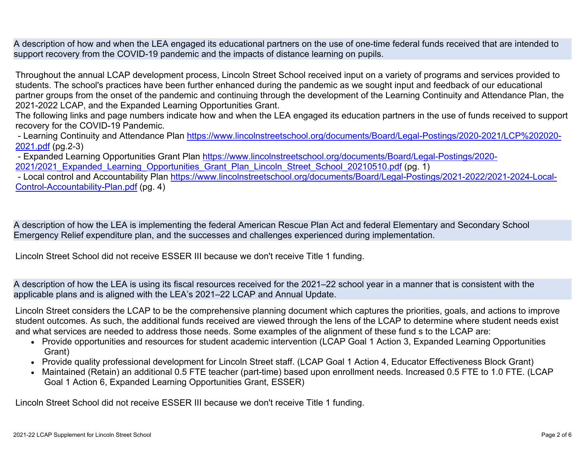A description of how and when the LEA engaged its educational partners on the use of one-time federal funds received that are intended to support recovery from the COVID-19 pandemic and the impacts of distance learning on pupils.

Throughout the annual LCAP development process, Lincoln Street School received input on a variety of programs and services provided to students. The school's practices have been further enhanced during the pandemic as we sought input and feedback of our educational partner groups from the onset of the pandemic and continuing through the development of the Learning Continuity and Attendance Plan, the 2021-2022 LCAP, and the Expanded Learning Opportunities Grant.

The following links and page numbers indicate how and when the LEA engaged its education partners in the use of funds received to support recovery for the COVID-19 Pandemic.

 - Learning Continuity and Attendance Plan [https://www.lincolnstreetschool.org/documents/Board/Legal-Postings/2020-2021/LCP%202020-](https://www.lincolnstreetschool.org/documents/Board/Legal-Postings/2020-2021/LCP%202020-2021.pdf) [2021.pdf](https://www.lincolnstreetschool.org/documents/Board/Legal-Postings/2020-2021/LCP%202020-2021.pdf) (pg.2-3)

 - Expanded Learning Opportunities Grant Plan [https://www.lincolnstreetschool.org/documents/Board/Legal-Postings/2020-](https://www.lincolnstreetschool.org/documents/Board/Legal-Postings/2020-2021/2021_Expanded_Learning_Opportunities_Grant_Plan_Lincoln_Street_School_20210510.pdf) 2021/2021 Expanded Learning Opportunities Grant Plan Lincoln Street School 20210510.pdf (pg. 1)

 - Local control and Accountability Plan [https://www.lincolnstreetschool.org/documents/Board/Legal-Postings/2021-2022/2021-2024-Local-](https://www.lincolnstreetschool.org/documents/Board/Legal-Postings/2021-2022/2021-2024-Local-Control-Accountability-Plan.pdf)[Control-Accountability-Plan.pdf](https://www.lincolnstreetschool.org/documents/Board/Legal-Postings/2021-2022/2021-2024-Local-Control-Accountability-Plan.pdf) (pg. 4)

A description of how the LEA is implementing the federal American Rescue Plan Act and federal Elementary and Secondary School Emergency Relief expenditure plan, and the successes and challenges experienced during implementation.

Lincoln Street School did not receive ESSER III because we don't receive Title 1 funding.

A description of how the LEA is using its fiscal resources received for the 2021–22 school year in a manner that is consistent with the applicable plans and is aligned with the LEA's 2021–22 LCAP and Annual Update.

Lincoln Street considers the LCAP to be the comprehensive planning document which captures the priorities, goals, and actions to improve student outcomes. As such, the additional funds received are viewed through the lens of the LCAP to determine where student needs exist and what services are needed to address those needs. Some examples of the alignment of these fund s to the LCAP are:

- Provide opportunities and resources for student academic intervention (LCAP Goal 1 Action 3, Expanded Learning Opportunities Grant)
- Provide quality professional development for Lincoln Street staff. (LCAP Goal 1 Action 4, Educator Effectiveness Block Grant)
- Maintained (Retain) an additional 0.5 FTE teacher (part-time) based upon enrollment needs. Increased 0.5 FTE to 1.0 FTE. (LCAP Goal 1 Action 6, Expanded Learning Opportunities Grant, ESSER)

Lincoln Street School did not receive ESSER III because we don't receive Title 1 funding.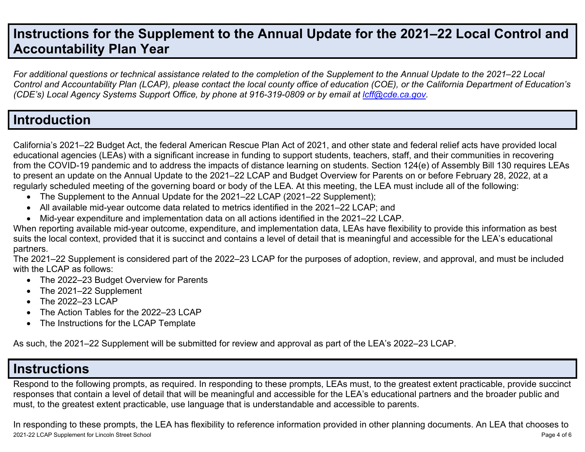## **Instructions for the Supplement to the Annual Update for the 2021–22 Local Control and Accountability Plan Year**

*For additional questions or technical assistance related to the completion of the Supplement to the Annual Update to the 2021–22 Local Control and Accountability Plan (LCAP), please contact the local county office of education (COE), or the California Department of Education's (CDE's)* Local Agency Systems Support Office, by phone at 916-319-0809 or by email at *[lcff@cde.ca.gov](mailto:lcff@cde.ca.gov)*.

## **Introduction**

California's 2021–22 Budget Act, the federal American Rescue Plan Act of 2021, and other state and federal relief acts have provided local educational agencies (LEAs) with a significant increase in funding to support students, teachers, staff, and their communities in recovering from the COVID-19 pandemic and to address the impacts of distance learning on students. Section 124(e) of Assembly Bill 130 requires LEAs to present an update on the Annual Update to the 2021–22 LCAP and Budget Overview for Parents on or before February 28, 2022, at a regularly scheduled meeting of the governing board or body of the LEA. At this meeting, the LEA must include all of the following:

- The Supplement to the Annual Update for the 2021–22 LCAP (2021–22 Supplement);
- All available mid-year outcome data related to metrics identified in the 2021–22 LCAP; and
- Mid-year expenditure and implementation data on all actions identified in the 2021–22 LCAP.

When reporting available mid-year outcome, expenditure, and implementation data, LEAs have flexibility to provide this information as best suits the local context, provided that it is succinct and contains a level of detail that is meaningful and accessible for the LEA's educational partners.

The 2021–22 Supplement is considered part of the 2022–23 LCAP for the purposes of adoption, review, and approval, and must be included with the LCAP as follows:

- The 2022–23 Budget Overview for Parents
- The 2021–22 Supplement
- The 2022–23 LCAP
- The Action Tables for the 2022–23 LCAP
- The Instructions for the LCAP Template

As such, the 2021–22 Supplement will be submitted for review and approval as part of the LEA's 2022–23 LCAP.

## **Instructions**

Respond to the following prompts, as required. In responding to these prompts, LEAs must, to the greatest extent practicable, provide succinct responses that contain a level of detail that will be meaningful and accessible for the LEA's educational partners and the broader public and must, to the greatest extent practicable, use language that is understandable and accessible to parents.

2021-22 LCAP Supplement for Lincoln Street School Page 4 of 6 In responding to these prompts, the LEA has flexibility to reference information provided in other planning documents. An LEA that chooses to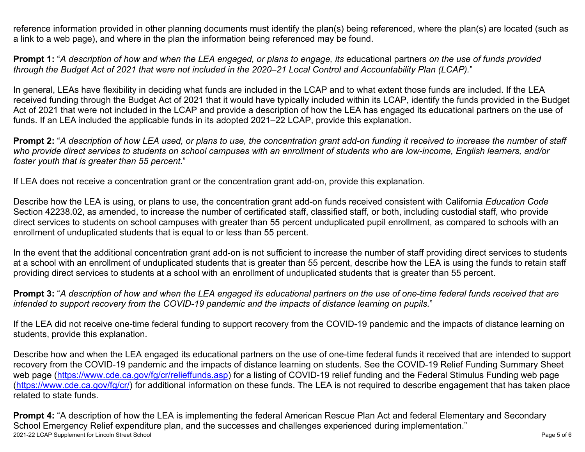reference information provided in other planning documents must identify the plan(s) being referenced, where the plan(s) are located (such as a link to a web page), and where in the plan the information being referenced may be found.

**Prompt 1:** "*A description of how and when the LEA engaged, or plans to engage, its* educational partners *on the use of funds provided through the Budget Act of 2021 that were not included in the 2020–21 Local Control and Accountability Plan (LCAP).*"

In general, LEAs have flexibility in deciding what funds are included in the LCAP and to what extent those funds are included. If the LEA received funding through the Budget Act of 2021 that it would have typically included within its LCAP, identify the funds provided in the Budget Act of 2021 that were not included in the LCAP and provide a description of how the LEA has engaged its educational partners on the use of funds. If an LEA included the applicable funds in its adopted 2021–22 LCAP, provide this explanation.

**Prompt 2:** "*A description of how LEA used, or plans to use, the concentration grant add-on funding it received to increase the number of staff who provide direct services to students on school campuses with an enrollment of students who are low-income, English learners, and/or foster youth that is greater than 55 percent.*"

If LEA does not receive a concentration grant or the concentration grant add-on, provide this explanation.

Describe how the LEA is using, or plans to use, the concentration grant add-on funds received consistent with California *Education Code* Section 42238.02, as amended, to increase the number of certificated staff, classified staff, or both, including custodial staff, who provide direct services to students on school campuses with greater than 55 percent unduplicated pupil enrollment, as compared to schools with an enrollment of unduplicated students that is equal to or less than 55 percent.

In the event that the additional concentration grant add-on is not sufficient to increase the number of staff providing direct services to students at a school with an enrollment of unduplicated students that is greater than 55 percent, describe how the LEA is using the funds to retain staff providing direct services to students at a school with an enrollment of unduplicated students that is greater than 55 percent.

**Prompt 3:** "*A description of how and when the LEA engaged its educational partners on the use of one-time federal funds received that are intended to support recovery from the COVID-19 pandemic and the impacts of distance learning on pupils.*"

If the LEA did not receive one-time federal funding to support recovery from the COVID-19 pandemic and the impacts of distance learning on students, provide this explanation.

Describe how and when the LEA engaged its educational partners on the use of one-time federal funds it received that are intended to support recovery from the COVID-19 pandemic and the impacts of distance learning on students. See the COVID-19 Relief Funding Summary Sheet web page [\(https://www.cde.ca.gov/fg/cr/relieffunds.asp\)](https://www.cde.ca.gov/fg/cr/relieffunds.asp) for a listing of COVID-19 relief funding and the Federal Stimulus Funding web page (<https://www.cde.ca.gov/fg/cr/>) for additional information on these funds. The LEA is not required to describe engagement that has taken place related to state funds.

2021-22 LCAP Supplement for Lincoln Street School Page 5 of 6 **Prompt 4:** "A description of how the LEA is implementing the federal American Rescue Plan Act and federal Elementary and Secondary School Emergency Relief expenditure plan, and the successes and challenges experienced during implementation."